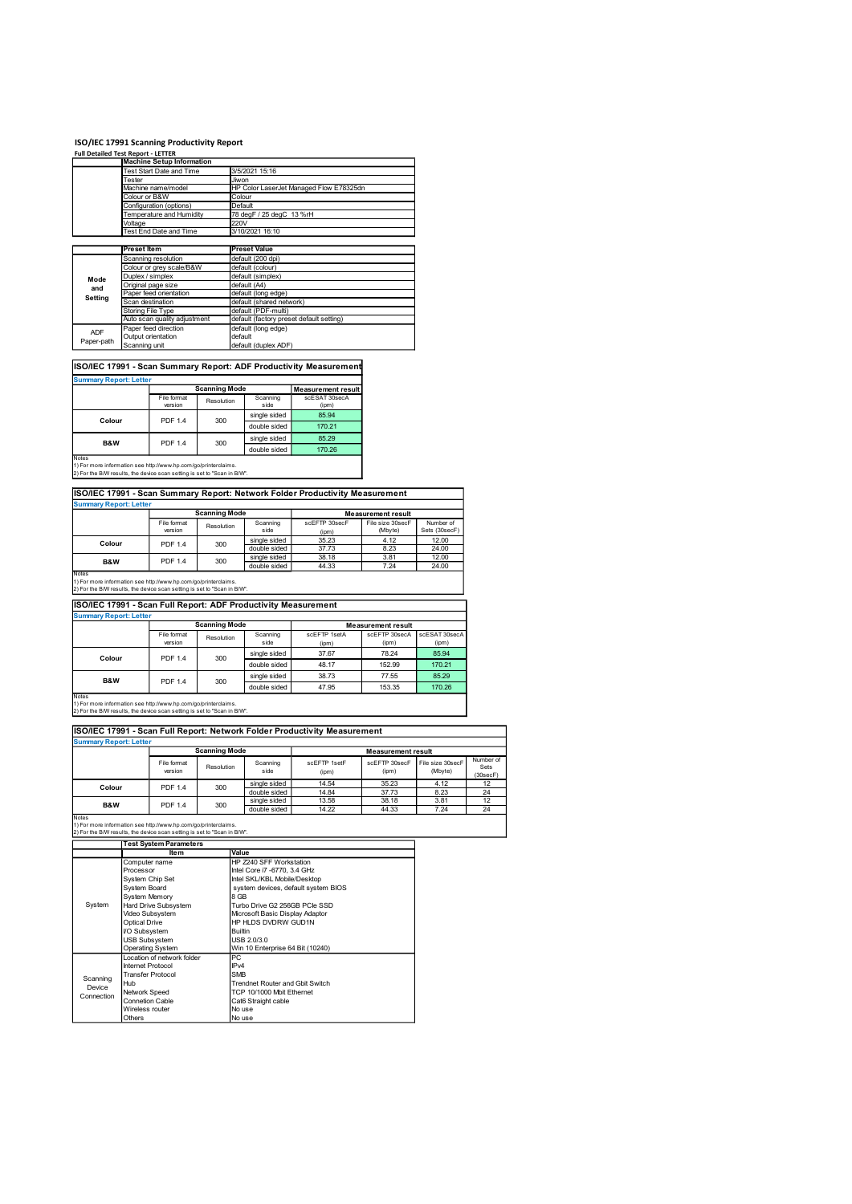| ISO/IEC 17991 Scanning Productivity Report<br><b>Full Detailed Test Report - LETTER</b>                                                              |                    |                                                              |                      |                                                                |                                                                              |                                 |                                 |
|------------------------------------------------------------------------------------------------------------------------------------------------------|--------------------|--------------------------------------------------------------|----------------------|----------------------------------------------------------------|------------------------------------------------------------------------------|---------------------------------|---------------------------------|
|                                                                                                                                                      |                    | <b>Machine Setup Information</b><br>Test Start Date and Time |                      | 3/5/2021 15:16                                                 |                                                                              |                                 |                                 |
|                                                                                                                                                      | Tester             | Machine name/model                                           | Jiwon                |                                                                | HP Color LaserJet Managed Flow E78325dn                                      |                                 |                                 |
|                                                                                                                                                      | Colour or B&W      | Configuration (options)                                      |                      | Colour<br>Default                                              |                                                                              |                                 |                                 |
|                                                                                                                                                      | Voltage            | Temperature and Humidity                                     | 220V                 | 78 degF / 25 degC 13 %rH                                       |                                                                              |                                 |                                 |
|                                                                                                                                                      |                    | Test End Date and Time                                       |                      | 3/10/2021 16:10                                                |                                                                              |                                 |                                 |
|                                                                                                                                                      | <b>Preset Item</b> |                                                              |                      | <b>Preset Value</b>                                            |                                                                              |                                 |                                 |
|                                                                                                                                                      |                    | Scanning resolution<br>Colour or grey scale/B&W              |                      | default (200 dpi)<br>default (colour)                          |                                                                              |                                 |                                 |
| Mode<br>and                                                                                                                                          | Duplex / simplex   | Original page size                                           |                      | default (simplex)<br>default (A4)                              |                                                                              |                                 |                                 |
| Setting                                                                                                                                              | Scan destination   | Paper feed orientation                                       |                      | default (long edge)<br>default (shared network)                |                                                                              |                                 |                                 |
|                                                                                                                                                      |                    | Storing File Type<br>Auto scan quality adjustment            |                      | default (PDF-multi)                                            | default (factory preset default setting)                                     |                                 |                                 |
| <b>ADF</b><br>Paper-path                                                                                                                             |                    | Paper feed direction<br>Output orientation                   | default              | default (long edge)                                            |                                                                              |                                 |                                 |
|                                                                                                                                                      | Scanning unit      |                                                              |                      | default (duplex ADF)                                           |                                                                              |                                 |                                 |
|                                                                                                                                                      |                    |                                                              |                      |                                                                | ISO/IEC 17991 - Scan Summary Report: ADF Productivity Measurement            |                                 |                                 |
| <b>Summary Report: Letter</b>                                                                                                                        |                    |                                                              | <b>Scanning Mode</b> |                                                                | <b>Measurement result</b>                                                    |                                 |                                 |
|                                                                                                                                                      |                    | File format<br>version                                       | Resolution           | Scanning<br>side                                               | scESAT 30secA<br>(ipm)                                                       |                                 |                                 |
|                                                                                                                                                      |                    | PDF 1.4                                                      | 300                  | single sided<br>double sided                                   | 85.94<br>170.21                                                              |                                 |                                 |
| Colour                                                                                                                                               |                    |                                                              |                      |                                                                | 85.29                                                                        |                                 |                                 |
| B&W                                                                                                                                                  |                    | PDF 1.4                                                      | 300                  | single sided                                                   |                                                                              |                                 |                                 |
|                                                                                                                                                      |                    |                                                              |                      | double sided                                                   | 170.26                                                                       |                                 |                                 |
|                                                                                                                                                      |                    |                                                              |                      |                                                                |                                                                              |                                 |                                 |
| 1) For more information see http://www.hp.com/go/printerclaims.                                                                                      |                    |                                                              |                      |                                                                | ISO/IEC 17991 - Scan Summary Report: Network Folder Productivity Measurement |                                 |                                 |
| Notes<br>2) For the B/W results, the device scan setting is set to "Scan in B/W".<br><b>Summary Report: Letter</b>                                   |                    |                                                              | <b>Scanning Mode</b> |                                                                |                                                                              | <b>Measurement result</b>       |                                 |
|                                                                                                                                                      |                    | File format                                                  | Resolution           | Scanning                                                       | scEFTP 30secF                                                                | File size 30secF                | Number of                       |
| Colour                                                                                                                                               |                    | version<br>PDF 1.4                                           | 300                  | side<br>single sided                                           | (ipm)<br>35.23                                                               | (Mbyte)<br>4.12                 | Sets (30secF)<br>12.00          |
| B&W                                                                                                                                                  |                    | <b>PDF 1.4</b>                                               | 300                  | double sided<br>single sided                                   | 37.73<br>38.18                                                               | 8.23<br>3.81                    | 24.00<br>12.00                  |
|                                                                                                                                                      |                    |                                                              |                      | double sided                                                   | 44.33                                                                        | 7.24                            | 24.00                           |
| Notes<br>1) For more information see http://www.hp.com/go/printerclaims.<br>2) For the B/W results, the device scan setting is set to "Scan in B/W". |                    |                                                              |                      |                                                                |                                                                              |                                 |                                 |
|                                                                                                                                                      |                    |                                                              |                      | ISO/IEC 17991 - Scan Full Report: ADF Productivity Measurement |                                                                              |                                 |                                 |
| <b>Summary Report: Letter</b>                                                                                                                        |                    |                                                              | <b>Scanning Mode</b> |                                                                |                                                                              | <b>Measurement result</b>       |                                 |
|                                                                                                                                                      |                    | File format<br>version                                       | Resolution           | Scanning<br>side<br>single sided                               | scEFTP 1setA<br>(ipm)<br>37.67                                               | scEFTP 30secA<br>(ipm)<br>78.24 | scESAT 30secA<br>(ipm)<br>85.94 |

| <b>Summary Report: Letter</b>                                                          |                        |            |                  |                        |
|----------------------------------------------------------------------------------------|------------------------|------------|------------------|------------------------|
|                                                                                        | <b>Scanning Mode</b>   |            |                  | Measurement result     |
|                                                                                        | File format<br>version | Resolution | Scanning<br>side | scESAT 30secA<br>(ipm) |
| Colour                                                                                 | <b>PDF 1.4</b>         | 300        | single sided     | 85.94                  |
|                                                                                        |                        |            | double sided     | 170.21                 |
| <b>B&amp;W</b>                                                                         | <b>PDF 1.4</b>         | 300        | single sided     | 85.29                  |
|                                                                                        |                        |            | double sided     | 170.26                 |
| Notes<br>1 Y East to ass. Information and bitterfluence by agreeds designational since |                        |            |                  |                        |
|                                                                                        |                        |            |                  |                        |

#### $Measurement result$ </u> ISO/IEC 17991 - Scan Summary Report: Network Folder Productivity Measurement ummary Report: Letter<br>
Scanning Mode

|                | File format    | Resolution | Scanning<br>scEFTP 30secF<br>File size 30secF | Number of |         |               |
|----------------|----------------|------------|-----------------------------------------------|-----------|---------|---------------|
|                | version        |            | side                                          | (ipm)     | (Mbyte) | Sets (30secF) |
| Colour         | <b>PDF 1.4</b> | 300        | single sided                                  | 35.23     | 4.12    | 12.00         |
|                |                |            | double sided                                  | 37.73     | 8.23    | 24.00         |
| <b>B&amp;W</b> | <b>PDF 1.4</b> | 300        | single sided                                  | 38.18     | 3.81    | 12.00         |
|                |                |            | double sided                                  | 44.33     | 7.24    | 24.00         |
| <b>Atoma</b>   |                |            |                                               |           |         |               |

| Mode                                                                                                                                                                                  | Duplex / Silliplex |                              |                      |                                                                |                                                                              |                           |                             |
|---------------------------------------------------------------------------------------------------------------------------------------------------------------------------------------|--------------------|------------------------------|----------------------|----------------------------------------------------------------|------------------------------------------------------------------------------|---------------------------|-----------------------------|
| and                                                                                                                                                                                   | Original page size |                              |                      | default (A4)                                                   |                                                                              |                           |                             |
| <b>Setting</b>                                                                                                                                                                        |                    | Paper feed orientation       |                      | default (long edge)                                            |                                                                              |                           |                             |
|                                                                                                                                                                                       | Scan destination   |                              |                      | default (shared network)                                       |                                                                              |                           |                             |
|                                                                                                                                                                                       | Storing File Type  |                              |                      | default (PDF-multi)                                            |                                                                              |                           |                             |
|                                                                                                                                                                                       |                    | Auto scan quality adjustment |                      | default (factory preset default setting)                       |                                                                              |                           |                             |
| <b>ADF</b>                                                                                                                                                                            |                    | Paper feed direction         |                      | default (long edge)                                            |                                                                              |                           |                             |
| Paper-path                                                                                                                                                                            | Output orientation |                              |                      | default                                                        |                                                                              |                           |                             |
|                                                                                                                                                                                       | Scanning unit      |                              |                      | default (duplex ADF)                                           |                                                                              |                           |                             |
|                                                                                                                                                                                       |                    |                              |                      |                                                                |                                                                              |                           |                             |
|                                                                                                                                                                                       |                    |                              |                      |                                                                | ISO/IEC 17991 - Scan Summary Report: ADF Productivity Measurement            |                           |                             |
| <b>Summary Report: Letter</b>                                                                                                                                                         |                    |                              | <b>Scanning Mode</b> |                                                                | <b>Measurement result</b>                                                    |                           |                             |
|                                                                                                                                                                                       |                    | File format                  |                      | Scanning                                                       | scESAT 30secA                                                                |                           |                             |
|                                                                                                                                                                                       |                    | version                      | Resolution           | side                                                           | (ipm)                                                                        |                           |                             |
|                                                                                                                                                                                       |                    |                              |                      |                                                                | 85.94                                                                        |                           |                             |
| Colour                                                                                                                                                                                |                    | PDF 1.4                      | 300                  | single sided                                                   |                                                                              |                           |                             |
|                                                                                                                                                                                       |                    |                              |                      | double sided                                                   | 170.21                                                                       |                           |                             |
|                                                                                                                                                                                       |                    |                              |                      | single sided                                                   | 85.29                                                                        |                           |                             |
| B&W                                                                                                                                                                                   |                    | PDF 1.4                      | 300                  | double sided                                                   | 170.26                                                                       |                           |                             |
| Notes                                                                                                                                                                                 |                    |                              |                      |                                                                |                                                                              |                           |                             |
| 1) For more information see http://www.hp.com/go/printerclaims.                                                                                                                       |                    |                              |                      |                                                                |                                                                              |                           |                             |
| 2) For the B/W results, the device scan setting is set to "Scan in B/W".                                                                                                              |                    |                              |                      |                                                                |                                                                              |                           |                             |
|                                                                                                                                                                                       |                    |                              |                      |                                                                |                                                                              |                           |                             |
|                                                                                                                                                                                       |                    |                              |                      |                                                                | ISO/IEC 17991 - Scan Summary Report: Network Folder Productivity Measurement |                           |                             |
|                                                                                                                                                                                       |                    |                              |                      |                                                                |                                                                              |                           |                             |
| <b>Summary Report: Letter</b>                                                                                                                                                         |                    |                              |                      |                                                                |                                                                              |                           |                             |
|                                                                                                                                                                                       |                    |                              | <b>Scanning Mode</b> |                                                                |                                                                              | <b>Measurement result</b> |                             |
|                                                                                                                                                                                       |                    | File format                  | Resolution           | Scanning                                                       | scEFTP 30secF                                                                | File size 30secF          | Number of                   |
|                                                                                                                                                                                       |                    | version                      |                      | side                                                           | (ipm)                                                                        | (Mbyte)                   | Sets (30secF)               |
|                                                                                                                                                                                       |                    |                              |                      |                                                                |                                                                              |                           |                             |
|                                                                                                                                                                                       |                    |                              |                      | single sided                                                   | 35.23                                                                        | 4.12                      | 12.00                       |
| Colour                                                                                                                                                                                |                    | PDF 1.4                      | 300                  | double sided                                                   | 37.73                                                                        | 8.23                      | 24.00                       |
|                                                                                                                                                                                       |                    |                              |                      | single sided                                                   | 38.18                                                                        | 3.81                      | 12.00                       |
| B&W                                                                                                                                                                                   |                    | <b>PDF 1.4</b>               | 300                  | double sided                                                   | 44.33                                                                        | 7.24                      | 24.00                       |
| Notes                                                                                                                                                                                 |                    |                              |                      |                                                                |                                                                              |                           |                             |
| 1) For more information see http://www.hp.com/go/printerclaims.                                                                                                                       |                    |                              |                      |                                                                |                                                                              |                           |                             |
| 2) For the B/W results, the device scan setting is set to "Scan in B/W".                                                                                                              |                    |                              |                      |                                                                |                                                                              |                           |                             |
|                                                                                                                                                                                       |                    |                              |                      |                                                                |                                                                              |                           |                             |
|                                                                                                                                                                                       |                    |                              |                      | ISO/IEC 17991 - Scan Full Report: ADF Productivity Measurement |                                                                              |                           |                             |
| <b>Summary Report: Letter</b>                                                                                                                                                         |                    |                              |                      |                                                                |                                                                              |                           |                             |
|                                                                                                                                                                                       |                    |                              | <b>Scanning Mode</b> |                                                                |                                                                              | <b>Measurement result</b> |                             |
|                                                                                                                                                                                       |                    | File format                  | Resolution           | Scanning                                                       | scEFTP 1setA                                                                 | scEFTP 30secA             | scESAT 30secA               |
|                                                                                                                                                                                       |                    | version                      |                      | side                                                           | (ipm)                                                                        | (ipm)                     | (ipm)                       |
|                                                                                                                                                                                       |                    |                              |                      | single sided                                                   | 37.67                                                                        | 78.24                     | 85.94                       |
| Colour                                                                                                                                                                                |                    | PDF 1.4                      | 300                  | double sided                                                   | 48.17                                                                        | 152.99                    | 170.21                      |
|                                                                                                                                                                                       |                    |                              |                      |                                                                |                                                                              |                           |                             |
| B&W                                                                                                                                                                                   |                    | <b>PDF 1.4</b>               | 300                  | single sided                                                   | 38.73                                                                        | 77.55                     | 85.29                       |
|                                                                                                                                                                                       |                    |                              |                      | double sided                                                   | 47.95                                                                        | 153.35                    | 170.26                      |
|                                                                                                                                                                                       |                    |                              |                      |                                                                |                                                                              |                           |                             |
|                                                                                                                                                                                       |                    |                              |                      |                                                                |                                                                              |                           |                             |
|                                                                                                                                                                                       |                    |                              |                      |                                                                |                                                                              |                           |                             |
|                                                                                                                                                                                       |                    |                              |                      |                                                                |                                                                              |                           |                             |
|                                                                                                                                                                                       |                    |                              |                      |                                                                | ISO/IEC 17991 - Scan Full Report: Network Folder Productivity Measurement    |                           |                             |
|                                                                                                                                                                                       |                    |                              |                      |                                                                |                                                                              |                           |                             |
| Notes<br>1) For more information see http://www.hp.com/go/printerclaims.<br>2) For the B/W results, the device scan setting is set to "Scan in B/W".<br><b>Summary Report: Letter</b> |                    |                              |                      |                                                                |                                                                              |                           |                             |
|                                                                                                                                                                                       |                    |                              | <b>Scanning Mode</b> |                                                                |                                                                              | <b>Measurement result</b> |                             |
|                                                                                                                                                                                       |                    | File format<br>version       | Resolution           | Scanning<br>side                                               | scEFTP 1setF<br>(ipm)                                                        | scEFTP 30secF<br>(ipm)    | File size 30secF<br>(Mbyte) |

| Colour                        | <b>PDF 1.4</b>                                                                                                                              | 300                  | single sided                     | 85.94                               |                           |                             |
|-------------------------------|---------------------------------------------------------------------------------------------------------------------------------------------|----------------------|----------------------------------|-------------------------------------|---------------------------|-----------------------------|
|                               |                                                                                                                                             |                      | double sided                     | 170.21                              |                           |                             |
| B&W                           | <b>PDF 1.4</b>                                                                                                                              | 300                  | single sided                     | 85.29                               |                           |                             |
|                               |                                                                                                                                             |                      | double sided                     | 170.26                              |                           |                             |
| Notes                         |                                                                                                                                             |                      |                                  |                                     |                           |                             |
|                               | 1) For more information see http://www.hp.com/go/printerclaims.<br>2) For the B/W results, the device scan setting is set to "Scan in B/W". |                      |                                  |                                     |                           |                             |
|                               |                                                                                                                                             |                      |                                  |                                     |                           |                             |
|                               | ISO/IEC 17991 - Scan Summary Report: Network Folder Productivity Measurement                                                                |                      |                                  |                                     |                           |                             |
| <b>Summary Report: Letter</b> |                                                                                                                                             |                      |                                  |                                     |                           |                             |
|                               |                                                                                                                                             | <b>Scanning Mode</b> |                                  |                                     |                           | <b>Measurement result</b>   |
|                               | File format<br>version                                                                                                                      | Resolution           | Scanning<br>side                 | scEFTP 30secF<br>(ipm)              |                           | File size 30secF<br>(Mbyte) |
|                               |                                                                                                                                             |                      | single sided                     | 35.23                               |                           | 4.12                        |
| Colour                        | PDF 1.4                                                                                                                                     | 300                  | double sided                     | 37.73                               |                           | 8.23                        |
| B&W                           | <b>PDF 1.4</b>                                                                                                                              | 300                  | single sided                     | 38.18                               |                           | 3.81                        |
| Notes                         |                                                                                                                                             |                      | double sided                     | 44.33                               |                           | 7.24                        |
|                               | 1) For more information see http://www.hp.com/go/printerclaims.                                                                             |                      |                                  |                                     |                           |                             |
|                               | 2) For the B/W results, the device scan setting is set to "Scan in B/W".                                                                    |                      |                                  |                                     |                           |                             |
|                               | ISO/IEC 17991 - Scan Full Report: ADF Productivity Measurement                                                                              |                      |                                  |                                     |                           |                             |
| <b>Summary Report: Letter</b> |                                                                                                                                             |                      |                                  |                                     |                           |                             |
|                               |                                                                                                                                             | <b>Scanning Mode</b> |                                  |                                     | <b>Measurement result</b> |                             |
|                               | File format                                                                                                                                 | Resolution           | Scanning                         | scEFTP 1setA                        | scEFTP 30secA             |                             |
|                               | version                                                                                                                                     |                      | side                             | (ipm)                               | (ipm)                     |                             |
| Colour                        | <b>PDF 1.4</b>                                                                                                                              | 300                  | single sided                     | 37.67                               | 78.24                     |                             |
|                               |                                                                                                                                             |                      | double sided                     | 48.17                               | 152.99                    |                             |
| <b>B&amp;W</b>                | <b>PDF 1.4</b>                                                                                                                              | 300                  | single sided                     | 38.73                               | 77.55                     |                             |
|                               |                                                                                                                                             |                      | double sided                     | 47.95                               | 153.35                    |                             |
| Notes                         |                                                                                                                                             |                      |                                  |                                     |                           |                             |
|                               | 1) For more information see http://www.hp.com/go/printerclaims.<br>2) For the B/W results, the device scan setting is set to "Scan in B/W". |                      |                                  |                                     |                           |                             |
|                               |                                                                                                                                             |                      |                                  |                                     |                           |                             |
|                               | ISO/IEC 17991 - Scan Full Report: Network Folder Productivity Measurement                                                                   |                      |                                  |                                     |                           |                             |
| <b>Summary Report: Letter</b> |                                                                                                                                             |                      |                                  |                                     |                           |                             |
|                               |                                                                                                                                             | <b>Scanning Mode</b> |                                  |                                     | <b>Measurement result</b> |                             |
|                               | File format                                                                                                                                 |                      | Scanning                         | scEFTP 1setF                        | scEFTP 30secF             |                             |
|                               | version                                                                                                                                     | Resolution           | side                             | (ipm)                               | (ipm)                     |                             |
|                               |                                                                                                                                             |                      | single sided                     | 14.54                               | 35.23                     |                             |
| Colour                        | <b>PDF 1.4</b>                                                                                                                              | 300                  | double sided                     | 14.84                               | 37.73                     |                             |
| <b>B&amp;W</b>                | <b>PDF 1.4</b>                                                                                                                              | 300                  | single sided                     | 13.58                               | 38.18                     |                             |
| Notes                         |                                                                                                                                             |                      | double sided                     | 14.22                               | 44.33                     |                             |
|                               | 1) For more information see http://www.hp.com/go/printerclaims.                                                                             |                      |                                  |                                     |                           |                             |
|                               | 2) For the B/W results, the device scan setting is set to "Scan in B/W".                                                                    |                      |                                  |                                     |                           |                             |
|                               | <b>Test System Parameters</b>                                                                                                               |                      |                                  |                                     |                           |                             |
|                               | Ite <sub>m</sub>                                                                                                                            |                      | Value                            |                                     |                           |                             |
|                               | Computer name                                                                                                                               |                      | HP Z240 SFF Workstation          |                                     |                           |                             |
|                               | Processor                                                                                                                                   |                      | Intel Core i7 -6770, 3.4 GHz     |                                     |                           |                             |
|                               | <b>System Chip Set</b>                                                                                                                      |                      | Intel SKL/KBL Mobile/Desktop     |                                     |                           |                             |
|                               | System Board<br>System Memory                                                                                                               |                      | 8 GB                             | system devices, default system BIOS |                           |                             |
| System                        | Hard Drive Subsystem                                                                                                                        |                      | Turbo Drive G2 256GB PCle SSD    |                                     |                           |                             |
|                               | Video Subsystem                                                                                                                             |                      | Microsoft Basic Display Adaptor  |                                     |                           |                             |
|                               | Optical Drive                                                                                                                               |                      | HP HLDS DVDRW GUD1N              |                                     |                           |                             |
|                               | I/O Subsystem                                                                                                                               |                      | <b>Builtin</b>                   |                                     |                           |                             |
|                               | USB Subsystem                                                                                                                               |                      | USB 2.0/3.0                      |                                     |                           |                             |
|                               | <b>Operating System</b>                                                                                                                     |                      | Win 10 Enterprise 64 Bit (10240) |                                     |                           |                             |
|                               | Location of network folder<br>Internet Protocol                                                                                             |                      | $_{\rm PC}$<br>IPv4              |                                     |                           |                             |
|                               |                                                                                                                                             |                      |                                  |                                     |                           |                             |

|                               |                                                                                                                                                                                                                                                                                                                                                                                                                                                                                                                                                                                                                                                                                                                                                                                                                                                                                                                                                                                                                                                                                                                                                                                                                                                                                                                                                                                                                                                                                                                                                                                                                                                                                      | File format                                                                                                                                                                                                                                                                                                                                                            |     | Scanning     | scEFTP 30secF | File size 30secF | Number of        |                   |  |  |  |  |
|-------------------------------|--------------------------------------------------------------------------------------------------------------------------------------------------------------------------------------------------------------------------------------------------------------------------------------------------------------------------------------------------------------------------------------------------------------------------------------------------------------------------------------------------------------------------------------------------------------------------------------------------------------------------------------------------------------------------------------------------------------------------------------------------------------------------------------------------------------------------------------------------------------------------------------------------------------------------------------------------------------------------------------------------------------------------------------------------------------------------------------------------------------------------------------------------------------------------------------------------------------------------------------------------------------------------------------------------------------------------------------------------------------------------------------------------------------------------------------------------------------------------------------------------------------------------------------------------------------------------------------------------------------------------------------------------------------------------------------|------------------------------------------------------------------------------------------------------------------------------------------------------------------------------------------------------------------------------------------------------------------------------------------------------------------------------------------------------------------------|-----|--------------|---------------|------------------|------------------|-------------------|--|--|--|--|
|                               |                                                                                                                                                                                                                                                                                                                                                                                                                                                                                                                                                                                                                                                                                                                                                                                                                                                                                                                                                                                                                                                                                                                                                                                                                                                                                                                                                                                                                                                                                                                                                                                                                                                                                      |                                                                                                                                                                                                                                                                                                                                                                        |     |              |               |                  |                  |                   |  |  |  |  |
| Colour                        |                                                                                                                                                                                                                                                                                                                                                                                                                                                                                                                                                                                                                                                                                                                                                                                                                                                                                                                                                                                                                                                                                                                                                                                                                                                                                                                                                                                                                                                                                                                                                                                                                                                                                      | <b>PDF 1.4</b>                                                                                                                                                                                                                                                                                                                                                         | 300 |              |               |                  |                  |                   |  |  |  |  |
|                               |                                                                                                                                                                                                                                                                                                                                                                                                                                                                                                                                                                                                                                                                                                                                                                                                                                                                                                                                                                                                                                                                                                                                                                                                                                                                                                                                                                                                                                                                                                                                                                                                                                                                                      |                                                                                                                                                                                                                                                                                                                                                                        |     |              |               |                  |                  |                   |  |  |  |  |
| B&W                           |                                                                                                                                                                                                                                                                                                                                                                                                                                                                                                                                                                                                                                                                                                                                                                                                                                                                                                                                                                                                                                                                                                                                                                                                                                                                                                                                                                                                                                                                                                                                                                                                                                                                                      |                                                                                                                                                                                                                                                                                                                                                                        |     |              |               |                  |                  |                   |  |  |  |  |
| Notes                         |                                                                                                                                                                                                                                                                                                                                                                                                                                                                                                                                                                                                                                                                                                                                                                                                                                                                                                                                                                                                                                                                                                                                                                                                                                                                                                                                                                                                                                                                                                                                                                                                                                                                                      |                                                                                                                                                                                                                                                                                                                                                                        |     |              |               |                  |                  |                   |  |  |  |  |
|                               |                                                                                                                                                                                                                                                                                                                                                                                                                                                                                                                                                                                                                                                                                                                                                                                                                                                                                                                                                                                                                                                                                                                                                                                                                                                                                                                                                                                                                                                                                                                                                                                                                                                                                      |                                                                                                                                                                                                                                                                                                                                                                        |     |              |               |                  |                  |                   |  |  |  |  |
|                               |                                                                                                                                                                                                                                                                                                                                                                                                                                                                                                                                                                                                                                                                                                                                                                                                                                                                                                                                                                                                                                                                                                                                                                                                                                                                                                                                                                                                                                                                                                                                                                                                                                                                                      |                                                                                                                                                                                                                                                                                                                                                                        |     |              |               |                  |                  |                   |  |  |  |  |
|                               |                                                                                                                                                                                                                                                                                                                                                                                                                                                                                                                                                                                                                                                                                                                                                                                                                                                                                                                                                                                                                                                                                                                                                                                                                                                                                                                                                                                                                                                                                                                                                                                                                                                                                      |                                                                                                                                                                                                                                                                                                                                                                        |     |              |               |                  |                  |                   |  |  |  |  |
| <b>Summary Report: Letter</b> |                                                                                                                                                                                                                                                                                                                                                                                                                                                                                                                                                                                                                                                                                                                                                                                                                                                                                                                                                                                                                                                                                                                                                                                                                                                                                                                                                                                                                                                                                                                                                                                                                                                                                      |                                                                                                                                                                                                                                                                                                                                                                        |     |              |               |                  |                  |                   |  |  |  |  |
|                               |                                                                                                                                                                                                                                                                                                                                                                                                                                                                                                                                                                                                                                                                                                                                                                                                                                                                                                                                                                                                                                                                                                                                                                                                                                                                                                                                                                                                                                                                                                                                                                                                                                                                                      |                                                                                                                                                                                                                                                                                                                                                                        |     |              |               |                  |                  |                   |  |  |  |  |
|                               |                                                                                                                                                                                                                                                                                                                                                                                                                                                                                                                                                                                                                                                                                                                                                                                                                                                                                                                                                                                                                                                                                                                                                                                                                                                                                                                                                                                                                                                                                                                                                                                                                                                                                      | File format                                                                                                                                                                                                                                                                                                                                                            |     | Scanning     | scEFTP 1setA  | scEFTP 30secA    | scESAT 30secA    |                   |  |  |  |  |
|                               |                                                                                                                                                                                                                                                                                                                                                                                                                                                                                                                                                                                                                                                                                                                                                                                                                                                                                                                                                                                                                                                                                                                                                                                                                                                                                                                                                                                                                                                                                                                                                                                                                                                                                      |                                                                                                                                                                                                                                                                                                                                                                        |     |              | (ipm)         |                  | (ipm)            |                   |  |  |  |  |
| Colour                        |                                                                                                                                                                                                                                                                                                                                                                                                                                                                                                                                                                                                                                                                                                                                                                                                                                                                                                                                                                                                                                                                                                                                                                                                                                                                                                                                                                                                                                                                                                                                                                                                                                                                                      |                                                                                                                                                                                                                                                                                                                                                                        |     | single sided | 37.67         | 78.24            | 85.94            |                   |  |  |  |  |
|                               |                                                                                                                                                                                                                                                                                                                                                                                                                                                                                                                                                                                                                                                                                                                                                                                                                                                                                                                                                                                                                                                                                                                                                                                                                                                                                                                                                                                                                                                                                                                                                                                                                                                                                      |                                                                                                                                                                                                                                                                                                                                                                        |     | double sided | 48.17         | 152.99           | 170.21           |                   |  |  |  |  |
|                               |                                                                                                                                                                                                                                                                                                                                                                                                                                                                                                                                                                                                                                                                                                                                                                                                                                                                                                                                                                                                                                                                                                                                                                                                                                                                                                                                                                                                                                                                                                                                                                                                                                                                                      |                                                                                                                                                                                                                                                                                                                                                                        |     |              |               |                  |                  |                   |  |  |  |  |
| B&W                           |                                                                                                                                                                                                                                                                                                                                                                                                                                                                                                                                                                                                                                                                                                                                                                                                                                                                                                                                                                                                                                                                                                                                                                                                                                                                                                                                                                                                                                                                                                                                                                                                                                                                                      |                                                                                                                                                                                                                                                                                                                                                                        |     |              |               |                  |                  |                   |  |  |  |  |
| Notes                         |                                                                                                                                                                                                                                                                                                                                                                                                                                                                                                                                                                                                                                                                                                                                                                                                                                                                                                                                                                                                                                                                                                                                                                                                                                                                                                                                                                                                                                                                                                                                                                                                                                                                                      |                                                                                                                                                                                                                                                                                                                                                                        |     |              |               |                  |                  |                   |  |  |  |  |
|                               |                                                                                                                                                                                                                                                                                                                                                                                                                                                                                                                                                                                                                                                                                                                                                                                                                                                                                                                                                                                                                                                                                                                                                                                                                                                                                                                                                                                                                                                                                                                                                                                                                                                                                      |                                                                                                                                                                                                                                                                                                                                                                        |     |              |               |                  |                  |                   |  |  |  |  |
|                               |                                                                                                                                                                                                                                                                                                                                                                                                                                                                                                                                                                                                                                                                                                                                                                                                                                                                                                                                                                                                                                                                                                                                                                                                                                                                                                                                                                                                                                                                                                                                                                                                                                                                                      |                                                                                                                                                                                                                                                                                                                                                                        |     |              |               |                  |                  |                   |  |  |  |  |
|                               |                                                                                                                                                                                                                                                                                                                                                                                                                                                                                                                                                                                                                                                                                                                                                                                                                                                                                                                                                                                                                                                                                                                                                                                                                                                                                                                                                                                                                                                                                                                                                                                                                                                                                      |                                                                                                                                                                                                                                                                                                                                                                        |     |              |               |                  |                  |                   |  |  |  |  |
|                               |                                                                                                                                                                                                                                                                                                                                                                                                                                                                                                                                                                                                                                                                                                                                                                                                                                                                                                                                                                                                                                                                                                                                                                                                                                                                                                                                                                                                                                                                                                                                                                                                                                                                                      |                                                                                                                                                                                                                                                                                                                                                                        |     |              |               |                  |                  |                   |  |  |  |  |
| <b>Summary Report: Letter</b> |                                                                                                                                                                                                                                                                                                                                                                                                                                                                                                                                                                                                                                                                                                                                                                                                                                                                                                                                                                                                                                                                                                                                                                                                                                                                                                                                                                                                                                                                                                                                                                                                                                                                                      |                                                                                                                                                                                                                                                                                                                                                                        |     |              |               |                  |                  |                   |  |  |  |  |
|                               |                                                                                                                                                                                                                                                                                                                                                                                                                                                                                                                                                                                                                                                                                                                                                                                                                                                                                                                                                                                                                                                                                                                                                                                                                                                                                                                                                                                                                                                                                                                                                                                                                                                                                      |                                                                                                                                                                                                                                                                                                                                                                        |     |              |               |                  |                  |                   |  |  |  |  |
|                               |                                                                                                                                                                                                                                                                                                                                                                                                                                                                                                                                                                                                                                                                                                                                                                                                                                                                                                                                                                                                                                                                                                                                                                                                                                                                                                                                                                                                                                                                                                                                                                                                                                                                                      | File format                                                                                                                                                                                                                                                                                                                                                            |     | Scanning     | scEFTP 1setF  | scEFTP 30secF    | File size 30secF | Number of<br>Sets |  |  |  |  |
|                               |                                                                                                                                                                                                                                                                                                                                                                                                                                                                                                                                                                                                                                                                                                                                                                                                                                                                                                                                                                                                                                                                                                                                                                                                                                                                                                                                                                                                                                                                                                                                                                                                                                                                                      |                                                                                                                                                                                                                                                                                                                                                                        |     |              | (ipm)         | (ipm)            |                  | (30secF)          |  |  |  |  |
| Colour                        |                                                                                                                                                                                                                                                                                                                                                                                                                                                                                                                                                                                                                                                                                                                                                                                                                                                                                                                                                                                                                                                                                                                                                                                                                                                                                                                                                                                                                                                                                                                                                                                                                                                                                      |                                                                                                                                                                                                                                                                                                                                                                        |     | single sided | 14.54         | 35.23            | 4.12             | 12                |  |  |  |  |
|                               |                                                                                                                                                                                                                                                                                                                                                                                                                                                                                                                                                                                                                                                                                                                                                                                                                                                                                                                                                                                                                                                                                                                                                                                                                                                                                                                                                                                                                                                                                                                                                                                                                                                                                      |                                                                                                                                                                                                                                                                                                                                                                        |     | double sided | 14.84         | 37.73            | 8.23             | 24                |  |  |  |  |
| B&W                           |                                                                                                                                                                                                                                                                                                                                                                                                                                                                                                                                                                                                                                                                                                                                                                                                                                                                                                                                                                                                                                                                                                                                                                                                                                                                                                                                                                                                                                                                                                                                                                                                                                                                                      | PDF 1.4                                                                                                                                                                                                                                                                                                                                                                | 300 | single sided |               | 38.18            |                  | 12                |  |  |  |  |
| Notes                         |                                                                                                                                                                                                                                                                                                                                                                                                                                                                                                                                                                                                                                                                                                                                                                                                                                                                                                                                                                                                                                                                                                                                                                                                                                                                                                                                                                                                                                                                                                                                                                                                                                                                                      |                                                                                                                                                                                                                                                                                                                                                                        |     |              |               |                  |                  | 24                |  |  |  |  |
|                               |                                                                                                                                                                                                                                                                                                                                                                                                                                                                                                                                                                                                                                                                                                                                                                                                                                                                                                                                                                                                                                                                                                                                                                                                                                                                                                                                                                                                                                                                                                                                                                                                                                                                                      |                                                                                                                                                                                                                                                                                                                                                                        |     |              |               |                  |                  |                   |  |  |  |  |
|                               |                                                                                                                                                                                                                                                                                                                                                                                                                                                                                                                                                                                                                                                                                                                                                                                                                                                                                                                                                                                                                                                                                                                                                                                                                                                                                                                                                                                                                                                                                                                                                                                                                                                                                      |                                                                                                                                                                                                                                                                                                                                                                        |     |              |               |                  |                  |                   |  |  |  |  |
|                               |                                                                                                                                                                                                                                                                                                                                                                                                                                                                                                                                                                                                                                                                                                                                                                                                                                                                                                                                                                                                                                                                                                                                                                                                                                                                                                                                                                                                                                                                                                                                                                                                                                                                                      |                                                                                                                                                                                                                                                                                                                                                                        |     |              |               |                  |                  |                   |  |  |  |  |
|                               |                                                                                                                                                                                                                                                                                                                                                                                                                                                                                                                                                                                                                                                                                                                                                                                                                                                                                                                                                                                                                                                                                                                                                                                                                                                                                                                                                                                                                                                                                                                                                                                                                                                                                      | Item                                                                                                                                                                                                                                                                                                                                                                   |     |              |               |                  |                  |                   |  |  |  |  |
|                               |                                                                                                                                                                                                                                                                                                                                                                                                                                                                                                                                                                                                                                                                                                                                                                                                                                                                                                                                                                                                                                                                                                                                                                                                                                                                                                                                                                                                                                                                                                                                                                                                                                                                                      |                                                                                                                                                                                                                                                                                                                                                                        |     |              |               |                  |                  |                   |  |  |  |  |
|                               |                                                                                                                                                                                                                                                                                                                                                                                                                                                                                                                                                                                                                                                                                                                                                                                                                                                                                                                                                                                                                                                                                                                                                                                                                                                                                                                                                                                                                                                                                                                                                                                                                                                                                      |                                                                                                                                                                                                                                                                                                                                                                        |     |              |               |                  |                  |                   |  |  |  |  |
|                               |                                                                                                                                                                                                                                                                                                                                                                                                                                                                                                                                                                                                                                                                                                                                                                                                                                                                                                                                                                                                                                                                                                                                                                                                                                                                                                                                                                                                                                                                                                                                                                                                                                                                                      |                                                                                                                                                                                                                                                                                                                                                                        |     |              |               |                  |                  |                   |  |  |  |  |
|                               |                                                                                                                                                                                                                                                                                                                                                                                                                                                                                                                                                                                                                                                                                                                                                                                                                                                                                                                                                                                                                                                                                                                                                                                                                                                                                                                                                                                                                                                                                                                                                                                                                                                                                      |                                                                                                                                                                                                                                                                                                                                                                        |     |              |               |                  |                  |                   |  |  |  |  |
| System                        |                                                                                                                                                                                                                                                                                                                                                                                                                                                                                                                                                                                                                                                                                                                                                                                                                                                                                                                                                                                                                                                                                                                                                                                                                                                                                                                                                                                                                                                                                                                                                                                                                                                                                      |                                                                                                                                                                                                                                                                                                                                                                        |     |              |               |                  |                  |                   |  |  |  |  |
|                               |                                                                                                                                                                                                                                                                                                                                                                                                                                                                                                                                                                                                                                                                                                                                                                                                                                                                                                                                                                                                                                                                                                                                                                                                                                                                                                                                                                                                                                                                                                                                                                                                                                                                                      |                                                                                                                                                                                                                                                                                                                                                                        |     |              |               |                  |                  |                   |  |  |  |  |
|                               |                                                                                                                                                                                                                                                                                                                                                                                                                                                                                                                                                                                                                                                                                                                                                                                                                                                                                                                                                                                                                                                                                                                                                                                                                                                                                                                                                                                                                                                                                                                                                                                                                                                                                      |                                                                                                                                                                                                                                                                                                                                                                        |     |              |               |                  |                  |                   |  |  |  |  |
|                               | 1) For more information see http://www.hp.com/go/printerclaims.<br>2) For the B/W results, the device scan setting is set to "Scan in B/W".<br>ISO/IEC 17991 - Scan Full Report: ADF Productivity Measurement<br><b>Scanning Mode</b><br><b>Measurement result</b><br>Resolution<br>version<br>side<br>(ipm)<br><b>PDF 1.4</b><br>300<br>single sided<br>38.73<br>77.55<br><b>PDF 1.4</b><br>300<br>47.95<br>double sided<br>153.35<br>1) For more information see http://www.hp.com/go/printerclaims.<br>2) For the B/W results, the device scan setting is set to "Scan in B/W".<br>ISO/IEC 17991 - Scan Full Report: Network Folder Productivity Measurement<br><b>Scanning Mode</b><br><b>Measurement result</b><br>Resolution<br>version<br>side<br>PDF 1.4<br>300<br>13.58<br>14.22<br>44.33<br>double sided<br>1) For more information see http://www.hp.com/go/printerclaims.<br>2) For the B/W results, the device scan setting is set to "Scan in B/W".<br><b>Test System Parameters</b><br>Value<br>HP Z240 SFF Workstation<br>Computer name<br>Processor<br>Intel Core i7 -6770, 3.4 GHz<br><b>System Chip Set</b><br>Intel SKL/KBL Mobile/Desktop<br>System Board<br>system devices, default system BIOS<br>System Memory<br>8 GB<br>Hard Drive Subsystem<br>Turbo Drive G2 256GB PCIe SSD<br>Microsoft Basic Display Adaptor<br>HP HLDS DVDRW GUD1N<br><b>Builtin</b><br>USB 2.0/3.0<br>Win 10 Enterprise 64 Bit (10240)<br>$\overline{PC}$<br>IPv4<br><b>SMB</b><br><b>Transfer Protocol</b><br>Trendnet Router and Gbit Switch<br>TCP 10/1000 Mbit Ethernet<br>Network Speed<br><b>Connetion Cable</b><br>Cat6 Straight cable<br>Wireless router<br>No use<br>No use |                                                                                                                                                                                                                                                                                                                                                                        |     |              |               |                  |                  |                   |  |  |  |  |
|                               |                                                                                                                                                                                                                                                                                                                                                                                                                                                                                                                                                                                                                                                                                                                                                                                                                                                                                                                                                                                                                                                                                                                                                                                                                                                                                                                                                                                                                                                                                                                                                                                                                                                                                      | <b>Scanning Mode</b><br><b>Measurement result</b><br>Resolution<br>version<br>side<br>(Mbyte)<br>Sets (30secF)<br>(ipm)<br>4.12<br>12.00<br>single sided<br>35.23<br>double sided<br>37.73<br>8.23<br>24.00<br>38.18<br>3.81<br>12.00<br>single sided<br><b>PDF 1.4</b><br>300<br>44.33<br>7.24<br>24.00<br>double sided<br>85.29<br>170.26<br>(Mbyte)<br>3.81<br>7.24 |     |              |               |                  |                  |                   |  |  |  |  |
|                               |                                                                                                                                                                                                                                                                                                                                                                                                                                                                                                                                                                                                                                                                                                                                                                                                                                                                                                                                                                                                                                                                                                                                                                                                                                                                                                                                                                                                                                                                                                                                                                                                                                                                                      |                                                                                                                                                                                                                                                                                                                                                                        |     |              |               |                  |                  |                   |  |  |  |  |
|                               |                                                                                                                                                                                                                                                                                                                                                                                                                                                                                                                                                                                                                                                                                                                                                                                                                                                                                                                                                                                                                                                                                                                                                                                                                                                                                                                                                                                                                                                                                                                                                                                                                                                                                      |                                                                                                                                                                                                                                                                                                                                                                        |     |              |               |                  |                  |                   |  |  |  |  |
|                               | Video Subsystem<br><b>Optical Drive</b><br>I/O Subsystem<br><b>USB Subsystem</b><br><b>Operating System</b><br>Location of network folder<br>Internet Protocol                                                                                                                                                                                                                                                                                                                                                                                                                                                                                                                                                                                                                                                                                                                                                                                                                                                                                                                                                                                                                                                                                                                                                                                                                                                                                                                                                                                                                                                                                                                       |                                                                                                                                                                                                                                                                                                                                                                        |     |              |               |                  |                  |                   |  |  |  |  |
|                               |                                                                                                                                                                                                                                                                                                                                                                                                                                                                                                                                                                                                                                                                                                                                                                                                                                                                                                                                                                                                                                                                                                                                                                                                                                                                                                                                                                                                                                                                                                                                                                                                                                                                                      |                                                                                                                                                                                                                                                                                                                                                                        |     |              |               |                  |                  |                   |  |  |  |  |
| Scanning                      |                                                                                                                                                                                                                                                                                                                                                                                                                                                                                                                                                                                                                                                                                                                                                                                                                                                                                                                                                                                                                                                                                                                                                                                                                                                                                                                                                                                                                                                                                                                                                                                                                                                                                      |                                                                                                                                                                                                                                                                                                                                                                        |     |              |               |                  |                  |                   |  |  |  |  |
| Device                        | Hub                                                                                                                                                                                                                                                                                                                                                                                                                                                                                                                                                                                                                                                                                                                                                                                                                                                                                                                                                                                                                                                                                                                                                                                                                                                                                                                                                                                                                                                                                                                                                                                                                                                                                  |                                                                                                                                                                                                                                                                                                                                                                        |     |              |               |                  |                  |                   |  |  |  |  |
| Connection                    |                                                                                                                                                                                                                                                                                                                                                                                                                                                                                                                                                                                                                                                                                                                                                                                                                                                                                                                                                                                                                                                                                                                                                                                                                                                                                                                                                                                                                                                                                                                                                                                                                                                                                      |                                                                                                                                                                                                                                                                                                                                                                        |     |              |               |                  |                  |                   |  |  |  |  |
|                               |                                                                                                                                                                                                                                                                                                                                                                                                                                                                                                                                                                                                                                                                                                                                                                                                                                                                                                                                                                                                                                                                                                                                                                                                                                                                                                                                                                                                                                                                                                                                                                                                                                                                                      |                                                                                                                                                                                                                                                                                                                                                                        |     |              |               |                  |                  |                   |  |  |  |  |
|                               |                                                                                                                                                                                                                                                                                                                                                                                                                                                                                                                                                                                                                                                                                                                                                                                                                                                                                                                                                                                                                                                                                                                                                                                                                                                                                                                                                                                                                                                                                                                                                                                                                                                                                      |                                                                                                                                                                                                                                                                                                                                                                        |     |              |               |                  |                  |                   |  |  |  |  |
|                               | Others                                                                                                                                                                                                                                                                                                                                                                                                                                                                                                                                                                                                                                                                                                                                                                                                                                                                                                                                                                                                                                                                                                                                                                                                                                                                                                                                                                                                                                                                                                                                                                                                                                                                               |                                                                                                                                                                                                                                                                                                                                                                        |     |              |               |                  |                  |                   |  |  |  |  |
|                               |                                                                                                                                                                                                                                                                                                                                                                                                                                                                                                                                                                                                                                                                                                                                                                                                                                                                                                                                                                                                                                                                                                                                                                                                                                                                                                                                                                                                                                                                                                                                                                                                                                                                                      |                                                                                                                                                                                                                                                                                                                                                                        |     |              |               |                  |                  |                   |  |  |  |  |
|                               |                                                                                                                                                                                                                                                                                                                                                                                                                                                                                                                                                                                                                                                                                                                                                                                                                                                                                                                                                                                                                                                                                                                                                                                                                                                                                                                                                                                                                                                                                                                                                                                                                                                                                      |                                                                                                                                                                                                                                                                                                                                                                        |     |              |               |                  |                  |                   |  |  |  |  |
|                               |                                                                                                                                                                                                                                                                                                                                                                                                                                                                                                                                                                                                                                                                                                                                                                                                                                                                                                                                                                                                                                                                                                                                                                                                                                                                                                                                                                                                                                                                                                                                                                                                                                                                                      |                                                                                                                                                                                                                                                                                                                                                                        |     |              |               |                  |                  |                   |  |  |  |  |
|                               |                                                                                                                                                                                                                                                                                                                                                                                                                                                                                                                                                                                                                                                                                                                                                                                                                                                                                                                                                                                                                                                                                                                                                                                                                                                                                                                                                                                                                                                                                                                                                                                                                                                                                      |                                                                                                                                                                                                                                                                                                                                                                        |     |              |               |                  |                  |                   |  |  |  |  |
|                               |                                                                                                                                                                                                                                                                                                                                                                                                                                                                                                                                                                                                                                                                                                                                                                                                                                                                                                                                                                                                                                                                                                                                                                                                                                                                                                                                                                                                                                                                                                                                                                                                                                                                                      |                                                                                                                                                                                                                                                                                                                                                                        |     |              |               |                  |                  |                   |  |  |  |  |
|                               |                                                                                                                                                                                                                                                                                                                                                                                                                                                                                                                                                                                                                                                                                                                                                                                                                                                                                                                                                                                                                                                                                                                                                                                                                                                                                                                                                                                                                                                                                                                                                                                                                                                                                      |                                                                                                                                                                                                                                                                                                                                                                        |     |              |               |                  |                  |                   |  |  |  |  |
|                               |                                                                                                                                                                                                                                                                                                                                                                                                                                                                                                                                                                                                                                                                                                                                                                                                                                                                                                                                                                                                                                                                                                                                                                                                                                                                                                                                                                                                                                                                                                                                                                                                                                                                                      |                                                                                                                                                                                                                                                                                                                                                                        |     |              |               |                  |                  |                   |  |  |  |  |
|                               |                                                                                                                                                                                                                                                                                                                                                                                                                                                                                                                                                                                                                                                                                                                                                                                                                                                                                                                                                                                                                                                                                                                                                                                                                                                                                                                                                                                                                                                                                                                                                                                                                                                                                      |                                                                                                                                                                                                                                                                                                                                                                        |     |              |               |                  |                  |                   |  |  |  |  |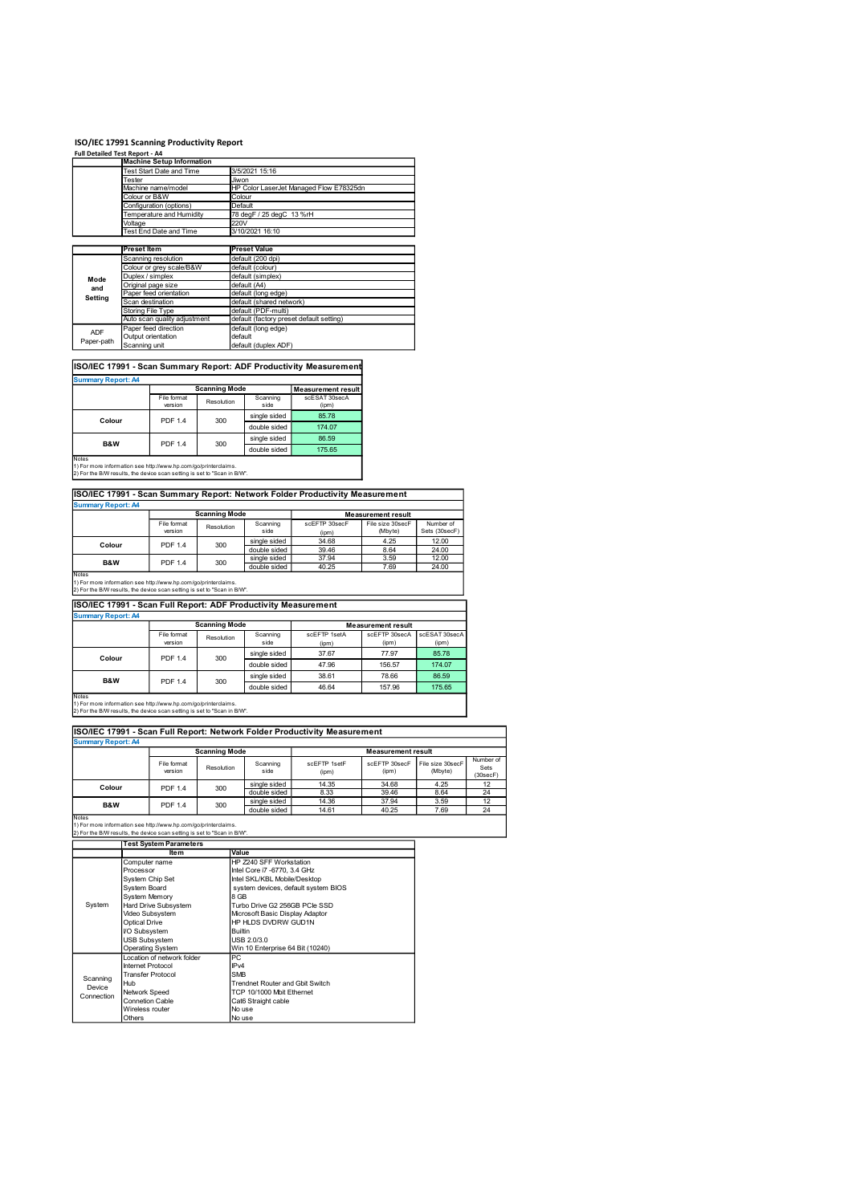| Full Detailed Test Report - A4                                                                                                                       |                    | ISO/IEC 17991 Scanning Productivity Report<br><b>Machine Setup Information</b> |                                    |                                                                |                                                                              |                                               |                         |
|------------------------------------------------------------------------------------------------------------------------------------------------------|--------------------|--------------------------------------------------------------------------------|------------------------------------|----------------------------------------------------------------|------------------------------------------------------------------------------|-----------------------------------------------|-------------------------|
|                                                                                                                                                      | Tester             | Test Start Date and Time                                                       |                                    | 3/5/2021 15:16<br>Jiwon                                        |                                                                              |                                               |                         |
|                                                                                                                                                      | Colour or B&W      | Machine name/model                                                             |                                    | Colour                                                         | HP Color LaserJet Managed Flow E78325dn                                      |                                               |                         |
|                                                                                                                                                      | Voltage            | Configuration (options)<br>Temperature and Humidity                            | 220V                               | Default<br>78 degF / 25 degC 13 %rH                            |                                                                              |                                               |                         |
|                                                                                                                                                      |                    | Test End Date and Time                                                         |                                    | 3/10/2021 16:10                                                |                                                                              |                                               |                         |
|                                                                                                                                                      | <b>Preset Item</b> | Scanning resolution                                                            |                                    | <b>Preset Value</b><br>default (200 dpi)                       |                                                                              |                                               |                         |
| Mode                                                                                                                                                 | Duplex / simplex   | Colour or grey scale/B&W<br>Original page size                                 |                                    | default (colour)<br>default (simplex)<br>default (A4)          |                                                                              |                                               |                         |
| and<br>Setting                                                                                                                                       | Scan destination   | Paper feed orientation                                                         |                                    | default (long edge)<br>default (shared network)                |                                                                              |                                               |                         |
|                                                                                                                                                      | Storing File Type  | Auto scan quality adjustment<br>Paper feed direction                           |                                    | default (PDF-multi)<br>default (long edge)                     | default (factory preset default setting)                                     |                                               |                         |
| <b>ADF</b><br>Paper-path                                                                                                                             | Scanning unit      | Output orientation                                                             |                                    | default<br>default (duplex ADF)                                |                                                                              |                                               |                         |
|                                                                                                                                                      |                    |                                                                                |                                    |                                                                | ISO/IEC 17991 - Scan Summary Report: ADF Productivity Measurement            |                                               |                         |
| <b>Summary Report: A4</b>                                                                                                                            |                    |                                                                                | <b>Scanning Mode</b>               |                                                                | <b>Measurement result</b>                                                    |                                               |                         |
|                                                                                                                                                      |                    | File format<br>version                                                         | Resolution                         | Scanning<br>side<br>single sided                               | scESAT 30secA<br>(ipm)<br>85.78                                              |                                               |                         |
| Colour                                                                                                                                               |                    | PDF 1.4                                                                        | 300                                | double sided<br>single sided                                   | 174.07<br>86.59                                                              |                                               |                         |
| B&W<br>Notes                                                                                                                                         |                    | <b>PDF 1.4</b>                                                                 | 300                                | double sided                                                   | 175.65                                                                       |                                               |                         |
|                                                                                                                                                      |                    | 1) For more information see http://www.hp.com/go/printerclaims.                |                                    |                                                                |                                                                              |                                               |                         |
|                                                                                                                                                      |                    |                                                                                |                                    |                                                                | ISO/IEC 17991 - Scan Summary Report: Network Folder Productivity Measurement |                                               |                         |
|                                                                                                                                                      |                    |                                                                                |                                    |                                                                |                                                                              |                                               |                         |
| 2) For the B/W results, the device scan setting is set to "Scan in B/W".<br><b>Summary Report: A4</b>                                                |                    | File format                                                                    | <b>Scanning Mode</b>               | Scanning                                                       | scEFTP 30secF                                                                | <b>Measurement result</b><br>File size 30secF | Number of               |
| Colour                                                                                                                                               |                    | version<br><b>PDF 1.4</b>                                                      | Resolution<br>300                  | side<br>single sided                                           | (ipm)<br>34.68                                                               | (Mbyte)<br>4.25                               | Sets (30secF)<br>12.00  |
| B&W                                                                                                                                                  |                    | PDF 1.4                                                                        | 300                                | double sided<br>single sided<br>double sided                   | 39.46<br>37.94<br>40.25                                                      | 8.64<br>3.59<br>7.69                          | 24.00<br>12.00<br>24.00 |
|                                                                                                                                                      |                    |                                                                                |                                    |                                                                |                                                                              |                                               |                         |
| Notes<br>1) For more information see http://www.hp.com/go/printerclaims.<br>2) For the B/W results, the device scan setting is set to "Scan in B/W". |                    |                                                                                |                                    | ISO/IEC 17991 - Scan Full Report: ADF Productivity Measurement |                                                                              |                                               |                         |
| <b>Summary Report: A4</b>                                                                                                                            |                    | File format                                                                    | <b>Scanning Mode</b><br>Resolution | Scanning                                                       | scEFTP 1setA                                                                 | <b>Measurement result</b><br>scEFTP 30secA    | scESAT 30secA           |

| <b>Summary Report: A4</b>                                                                                                                            |                                                |                      |                  |                           |
|------------------------------------------------------------------------------------------------------------------------------------------------------|------------------------------------------------|----------------------|------------------|---------------------------|
|                                                                                                                                                      |                                                | <b>Scanning Mode</b> |                  | l Measurement result I    |
|                                                                                                                                                      | File format<br>version                         | Resolution           | Scanning<br>side | scESAT 30secA<br>(ipm)    |
| Colour                                                                                                                                               |                                                |                      | single sided     | 85.78                     |
|                                                                                                                                                      | <b>PDF 1.4</b><br>300<br><b>PDF 1.4</b><br>300 | double sided         | 174.07           |                           |
| <b>B&amp;W</b>                                                                                                                                       |                                                |                      | single sided     | 86.59                     |
|                                                                                                                                                      |                                                |                      | double sided     | 175.65                    |
| Notes<br>1) For more information see http://www.hp.com/go/printerclaims.<br>2) For the B/W results, the device scan setting is set to "Scan in B/W". |                                                |                      |                  |                           |
| ISO/IEC 17991 - Scan Summary Report: Network Folder Productivity Measurement                                                                         |                                                |                      |                  |                           |
| <b>Summary Report: A4</b>                                                                                                                            |                                                |                      |                  |                           |
|                                                                                                                                                      |                                                | <b>Scanning Mode</b> |                  | <b>Measurement result</b> |

## ISO/IEC 17991 - Scan Summary Report: Network Folder Productivity Measurement

| Summary Report: A4                                              |                                                   |            |              |               |                  |               |
|-----------------------------------------------------------------|---------------------------------------------------|------------|--------------|---------------|------------------|---------------|
|                                                                 | <b>Scanning Mode</b><br><b>Measurement result</b> |            |              |               |                  |               |
|                                                                 | File format                                       | Resolution | Scanning     | scEFTP 30secF | File size 30secF | Number of     |
|                                                                 | version                                           |            | side         | (ipm)         | (Mbyte)          | Sets (30secF) |
| Colour                                                          | <b>PDF 1.4</b>                                    | 300        | single sided | 34.68         | 4.25             | 12.00         |
|                                                                 |                                                   |            | double sided | 39.46         | 8.64             | 24.00         |
| <b>B&amp;W</b>                                                  | <b>PDF 1.4</b>                                    | 300        | single sided | 37.94         | 3.59             | 12.00         |
|                                                                 |                                                   |            | double sided | 40.25         | 7.69             | 24.00         |
| <b>Notes</b>                                                    |                                                   |            |              |               |                  |               |
| 1) For more information see http://www.hp.com/go/printerclaims. |                                                   |            |              |               |                  |               |

| Mode                                                                                                  | Duplex / Silliplex |                                                                 |                      | Gerault (Simplex)                                              |                                                                              |                           |                             |
|-------------------------------------------------------------------------------------------------------|--------------------|-----------------------------------------------------------------|----------------------|----------------------------------------------------------------|------------------------------------------------------------------------------|---------------------------|-----------------------------|
| and                                                                                                   | Original page size |                                                                 |                      | default (A4)                                                   |                                                                              |                           |                             |
| <b>Setting</b>                                                                                        |                    | Paper feed orientation                                          |                      | default (long edge)                                            |                                                                              |                           |                             |
|                                                                                                       | Scan destination   |                                                                 |                      | default (shared network)                                       |                                                                              |                           |                             |
|                                                                                                       | Storing File Type  |                                                                 |                      | default (PDF-multi)                                            |                                                                              |                           |                             |
|                                                                                                       |                    | Auto scan quality adjustment                                    |                      | default (factory preset default setting)                       |                                                                              |                           |                             |
| <b>ADF</b>                                                                                            |                    | Paper feed direction                                            |                      | default (long edge)                                            |                                                                              |                           |                             |
| Paper-path                                                                                            | Output orientation |                                                                 |                      | default                                                        |                                                                              |                           |                             |
|                                                                                                       | Scanning unit      |                                                                 |                      | default (duplex ADF)                                           |                                                                              |                           |                             |
|                                                                                                       |                    |                                                                 |                      |                                                                |                                                                              |                           |                             |
|                                                                                                       |                    |                                                                 |                      |                                                                | ISO/IEC 17991 - Scan Summary Report: ADF Productivity Measurement            |                           |                             |
| <b>Summary Report: A4</b>                                                                             |                    |                                                                 | <b>Scanning Mode</b> |                                                                | <b>Measurement result</b>                                                    |                           |                             |
|                                                                                                       |                    | File format                                                     |                      | Scanning                                                       | scESAT 30secA                                                                |                           |                             |
|                                                                                                       |                    | version                                                         | Resolution           | side                                                           | (ipm)                                                                        |                           |                             |
|                                                                                                       |                    |                                                                 |                      | single sided                                                   | 85.78                                                                        |                           |                             |
| Colour                                                                                                |                    | PDF 1.4                                                         | 300                  |                                                                |                                                                              |                           |                             |
|                                                                                                       |                    |                                                                 |                      | double sided                                                   | 174.07                                                                       |                           |                             |
|                                                                                                       |                    |                                                                 |                      | single sided                                                   | 86.59                                                                        |                           |                             |
| B&W                                                                                                   |                    | PDF 1.4                                                         | 300                  | double sided                                                   | 175.65                                                                       |                           |                             |
| Notes                                                                                                 |                    |                                                                 |                      |                                                                |                                                                              |                           |                             |
| 1) For more information see http://www.hp.com/go/printerclaims.                                       |                    |                                                                 |                      |                                                                |                                                                              |                           |                             |
| 2) For the B/W results, the device scan setting is set to "Scan in B/W".                              |                    |                                                                 |                      |                                                                |                                                                              |                           |                             |
|                                                                                                       |                    |                                                                 |                      |                                                                |                                                                              |                           |                             |
|                                                                                                       |                    |                                                                 |                      |                                                                | ISO/IEC 17991 - Scan Summary Report: Network Folder Productivity Measurement |                           |                             |
| <b>Summary Report: A4</b>                                                                             |                    |                                                                 |                      |                                                                |                                                                              |                           |                             |
|                                                                                                       |                    |                                                                 | <b>Scanning Mode</b> |                                                                |                                                                              |                           |                             |
|                                                                                                       |                    |                                                                 |                      |                                                                | scEFTP 30secF                                                                | <b>Measurement result</b> |                             |
|                                                                                                       |                    | File format                                                     | Resolution           | Scanning                                                       |                                                                              | File size 30secF          | Number of                   |
|                                                                                                       |                    | version                                                         |                      | side                                                           | (ipm)                                                                        | (Mbyte)                   | Sets (30secF)               |
| Colour                                                                                                |                    | PDF 1.4                                                         | 300                  | single sided                                                   | 34.68                                                                        | 4.25                      | 12.00                       |
|                                                                                                       |                    |                                                                 |                      | double sided                                                   | 39.46                                                                        | 8.64                      | 24.00                       |
| B&W                                                                                                   |                    | <b>PDF 1.4</b>                                                  | 300                  | single sided                                                   | 37.94                                                                        | 3.59                      | 12.00                       |
| Notes                                                                                                 |                    |                                                                 |                      | double sided                                                   | 40.25                                                                        | 7.69                      | 24.00                       |
| 1) For more information see http://www.hp.com/go/printerclaims.                                       |                    |                                                                 |                      |                                                                |                                                                              |                           |                             |
| 2) For the B/W results, the device scan setting is set to "Scan in B/W".                              |                    |                                                                 |                      |                                                                |                                                                              |                           |                             |
|                                                                                                       |                    |                                                                 |                      |                                                                |                                                                              |                           |                             |
|                                                                                                       |                    |                                                                 |                      | ISO/IEC 17991 - Scan Full Report: ADF Productivity Measurement |                                                                              |                           |                             |
| <b>Summary Report: A4</b>                                                                             |                    |                                                                 |                      |                                                                |                                                                              |                           |                             |
|                                                                                                       |                    |                                                                 | <b>Scanning Mode</b> |                                                                |                                                                              | <b>Measurement result</b> |                             |
|                                                                                                       |                    | File format                                                     |                      | Scanning                                                       | scEFTP 1setA                                                                 | scEFTP 30secA             | scESAT 30secA               |
|                                                                                                       |                    | version                                                         | Resolution           | side                                                           | (ipm)                                                                        | (ipm)                     | (ipm)                       |
|                                                                                                       |                    |                                                                 |                      | single sided                                                   | 37.67                                                                        | 77.97                     | 85.78                       |
| Colour                                                                                                |                    | PDF 1.4                                                         | 300                  |                                                                |                                                                              |                           |                             |
|                                                                                                       |                    |                                                                 |                      | double sided                                                   | 47.96                                                                        | 156.57                    | 174.07                      |
|                                                                                                       |                    |                                                                 |                      | single sided                                                   | 38.61                                                                        | 78.66                     | 86.59                       |
| B&W                                                                                                   |                    | PDF 1.4                                                         | 300                  | double sided                                                   | 46.64                                                                        | 157.96                    | 175.65                      |
| Notes                                                                                                 |                    |                                                                 |                      |                                                                |                                                                              |                           |                             |
|                                                                                                       |                    | 1) For more information see http://www.hp.com/go/printerclaims. |                      |                                                                |                                                                              |                           |                             |
|                                                                                                       |                    |                                                                 |                      |                                                                |                                                                              |                           |                             |
|                                                                                                       |                    |                                                                 |                      |                                                                |                                                                              |                           |                             |
|                                                                                                       |                    |                                                                 |                      |                                                                |                                                                              |                           |                             |
|                                                                                                       |                    |                                                                 |                      |                                                                |                                                                              |                           |                             |
|                                                                                                       |                    |                                                                 |                      |                                                                | ISO/IEC 17991 - Scan Full Report: Network Folder Productivity Measurement    |                           |                             |
|                                                                                                       |                    |                                                                 |                      |                                                                |                                                                              |                           |                             |
| 2) For the B/W results, the device scan setting is set to "Scan in B/W".<br><b>Summary Report: A4</b> |                    |                                                                 | <b>Scanning Mode</b> |                                                                |                                                                              | <b>Measurement result</b> |                             |
|                                                                                                       |                    |                                                                 |                      |                                                                |                                                                              |                           |                             |
|                                                                                                       |                    | File format<br>version                                          | Resolution           | Scanning<br>side                                               | scEFTP 1setF<br>(ipm)                                                        | scEFTP 30secF<br>(ipm)    | File size 30secF<br>(Mbyte) |

|                                                                                                                                             | Storing File Type             |                                                                          |                      | default (PDF-multi)                                            |                                                                              |                           |                  |                |
|---------------------------------------------------------------------------------------------------------------------------------------------|-------------------------------|--------------------------------------------------------------------------|----------------------|----------------------------------------------------------------|------------------------------------------------------------------------------|---------------------------|------------------|----------------|
|                                                                                                                                             |                               | Auto scan quality adjustment                                             |                      | default (factory preset default setting)                       |                                                                              |                           |                  |                |
| ADF                                                                                                                                         |                               | Paper feed direction                                                     |                      | default (long edge)<br>default                                 |                                                                              |                           |                  |                |
| Paper-path                                                                                                                                  | Scanning unit                 | Output orientation                                                       |                      | default (duplex ADF)                                           |                                                                              |                           |                  |                |
|                                                                                                                                             |                               |                                                                          |                      |                                                                |                                                                              |                           |                  |                |
|                                                                                                                                             |                               |                                                                          |                      |                                                                |                                                                              |                           |                  |                |
|                                                                                                                                             |                               |                                                                          |                      |                                                                | ISO/IEC 17991 - Scan Summary Report: ADF Productivity Measurement            |                           |                  |                |
| <b>Summary Report: A4</b>                                                                                                                   |                               |                                                                          |                      |                                                                |                                                                              |                           |                  |                |
|                                                                                                                                             |                               |                                                                          | <b>Scanning Mode</b> |                                                                | <b>Measurement result</b>                                                    |                           |                  |                |
|                                                                                                                                             |                               | File format                                                              | Resolution           | Scanning                                                       | scESAT 30secA                                                                |                           |                  |                |
|                                                                                                                                             |                               | version                                                                  |                      | side                                                           | (ipm)                                                                        |                           |                  |                |
| Colour                                                                                                                                      |                               | <b>PDF 1.4</b>                                                           | 300                  | single sided                                                   | 85.78                                                                        |                           |                  |                |
|                                                                                                                                             |                               |                                                                          |                      | double sided                                                   | 174.07                                                                       |                           |                  |                |
|                                                                                                                                             |                               |                                                                          |                      | single sided                                                   | 86.59                                                                        |                           |                  |                |
| B&W                                                                                                                                         |                               | PDF 1.4                                                                  | 300                  | double sided                                                   | 175.65                                                                       |                           |                  |                |
| Notes                                                                                                                                       |                               |                                                                          |                      |                                                                |                                                                              |                           |                  |                |
| 1) For more information see http://www.hp.com/go/printerclaims.<br>2) For the B/W results, the device scan setting is set to "Scan in B/W". |                               |                                                                          |                      |                                                                | ISO/IEC 17991 - Scan Summary Report: Network Folder Productivity Measurement |                           |                  |                |
| <b>Summary Report: A4</b>                                                                                                                   |                               |                                                                          |                      |                                                                |                                                                              |                           |                  |                |
|                                                                                                                                             |                               |                                                                          | <b>Scanning Mode</b> |                                                                |                                                                              | <b>Measurement result</b> |                  |                |
|                                                                                                                                             |                               | File format                                                              |                      | Scanning                                                       | scEFTP 30secF                                                                | File size 30secF          | Number of        |                |
|                                                                                                                                             |                               | version                                                                  | Resolution           | side                                                           | (ipm)                                                                        | (Mbyte)                   | Sets (30secF)    |                |
| Colour                                                                                                                                      |                               | <b>PDF 1.4</b>                                                           | 300                  | single sided                                                   | 34.68                                                                        | 4.25                      | 12.00            |                |
|                                                                                                                                             |                               |                                                                          |                      | double sided                                                   | 39.46                                                                        | 8.64                      | 24.00            |                |
| <b>B&amp;W</b>                                                                                                                              |                               | <b>PDF 1.4</b>                                                           | 300                  | single sided                                                   | 37.94                                                                        | 3.59                      | 12.00            |                |
| Notes                                                                                                                                       |                               |                                                                          |                      | double sided                                                   | 40.25                                                                        | 7.69                      | 24.00            |                |
| 1) For more information see http://www.hp.com/go/printerclaims.<br>2) For the B/W results, the device scan setting is set to "Scan in B/W". |                               |                                                                          |                      | ISO/IEC 17991 - Scan Full Report: ADF Productivity Measurement |                                                                              |                           |                  |                |
| <b>Summary Report: A4</b>                                                                                                                   |                               |                                                                          |                      |                                                                |                                                                              |                           |                  |                |
|                                                                                                                                             |                               |                                                                          | <b>Scanning Mode</b> |                                                                |                                                                              | <b>Measurement result</b> |                  |                |
|                                                                                                                                             |                               | File format                                                              | Resolution           | Scanning                                                       | scEFTP 1setA                                                                 | scEFTP 30secA             | scESAT 30secA    |                |
|                                                                                                                                             |                               | version                                                                  |                      | side                                                           | (ipm)                                                                        | (ipm)                     | (ipm)            |                |
| Colour                                                                                                                                      |                               | <b>PDF 1.4</b>                                                           | 300                  | single sided                                                   | 37.67                                                                        | 77.97                     | 85.78            |                |
|                                                                                                                                             |                               |                                                                          |                      | double sided                                                   | 47.96                                                                        | 156.57                    | 174.07           |                |
|                                                                                                                                             |                               |                                                                          |                      | single sided                                                   | 38.61                                                                        | 78.66                     | 86.59            |                |
| B&W                                                                                                                                         |                               | <b>PDF 1.4</b>                                                           | 300                  | double sided                                                   | 46.64                                                                        | 157.96                    | 175.65           |                |
| Notes                                                                                                                                       |                               |                                                                          |                      |                                                                |                                                                              |                           |                  |                |
| 1) For more information see http://www.hp.com/go/printerclaims.                                                                             |                               |                                                                          |                      |                                                                |                                                                              |                           |                  |                |
| 2) For the B/W results, the device scan setting is set to "Scan in B/W".                                                                    |                               |                                                                          |                      |                                                                |                                                                              |                           |                  |                |
|                                                                                                                                             |                               |                                                                          |                      |                                                                |                                                                              |                           |                  |                |
|                                                                                                                                             |                               |                                                                          |                      |                                                                | ISO/IEC 17991 - Scan Full Report: Network Folder Productivity Measurement    |                           |                  |                |
| <b>Summary Report: A4</b>                                                                                                                   |                               |                                                                          |                      |                                                                |                                                                              |                           |                  |                |
|                                                                                                                                             |                               |                                                                          | <b>Scanning Mode</b> |                                                                |                                                                              | <b>Measurement result</b> |                  |                |
|                                                                                                                                             |                               | File format                                                              |                      | Scanning                                                       | scEFTP 1setF                                                                 | scEFTP 30secF             | File size 30secF | Number of      |
|                                                                                                                                             |                               | version                                                                  | Resolution           | side                                                           | (ipm)                                                                        | (ipm)                     | (Mbyte)          | Sets           |
|                                                                                                                                             |                               |                                                                          |                      | single sided                                                   | 14.35                                                                        | 34.68                     | 4.25             | (30secF)<br>12 |
| Colour                                                                                                                                      |                               | <b>PDF 1.4</b>                                                           | 300                  | double sided                                                   | 8.33                                                                         | 39.46                     | 8.64             | 24             |
|                                                                                                                                             |                               |                                                                          |                      | single sided                                                   | 14.36                                                                        | 37.94                     | 3.59             | 12             |
| B&W                                                                                                                                         |                               | PDF 1.4                                                                  | 300                  | double sided                                                   | 14.61                                                                        | 40.25                     | 7.69             | 24             |
| Notes                                                                                                                                       |                               |                                                                          |                      |                                                                |                                                                              |                           |                  |                |
| 1) For more information see http://www.hp.com/go/printerclaims.                                                                             |                               |                                                                          |                      |                                                                |                                                                              |                           |                  |                |
|                                                                                                                                             |                               |                                                                          |                      |                                                                |                                                                              |                           |                  |                |
|                                                                                                                                             |                               | 2) For the B/W results, the device scan setting is set to "Scan in B/W". |                      |                                                                |                                                                              |                           |                  |                |
|                                                                                                                                             |                               | <b>Test System Parameters</b>                                            |                      |                                                                |                                                                              |                           |                  |                |
|                                                                                                                                             |                               | Ite <sub>m</sub>                                                         |                      | Value                                                          |                                                                              |                           |                  |                |
|                                                                                                                                             | Computer name                 |                                                                          |                      | HP Z240 SFF Workstation                                        |                                                                              |                           |                  |                |
|                                                                                                                                             | Processor                     |                                                                          |                      | Intel Core i7 -6770, 3.4 GHz                                   |                                                                              |                           |                  |                |
|                                                                                                                                             | <b>System Chip Set</b>        |                                                                          |                      | Intel SKL/KBL Mobile/Desktop                                   |                                                                              |                           |                  |                |
|                                                                                                                                             | System Board<br>System Memory |                                                                          |                      | 8 GB                                                           | system devices, default system BIOS                                          |                           |                  |                |

| <b>Summary Report: A4</b> |                                                                                                                                                                                                                                                                                                                                                                                                                                                                                                                                                                                                                                                                                                                                                                                                                                                                                                                                                                                                                                                                                                                                                                                                                                                                                                                                                                                                                                                                                                                                                                                                                                                                                                                                                                                                                                                                                                                                           |                |            |              |                           |                             |                            |                  |
|---------------------------|-------------------------------------------------------------------------------------------------------------------------------------------------------------------------------------------------------------------------------------------------------------------------------------------------------------------------------------------------------------------------------------------------------------------------------------------------------------------------------------------------------------------------------------------------------------------------------------------------------------------------------------------------------------------------------------------------------------------------------------------------------------------------------------------------------------------------------------------------------------------------------------------------------------------------------------------------------------------------------------------------------------------------------------------------------------------------------------------------------------------------------------------------------------------------------------------------------------------------------------------------------------------------------------------------------------------------------------------------------------------------------------------------------------------------------------------------------------------------------------------------------------------------------------------------------------------------------------------------------------------------------------------------------------------------------------------------------------------------------------------------------------------------------------------------------------------------------------------------------------------------------------------------------------------------------------------|----------------|------------|--------------|---------------------------|-----------------------------|----------------------------|------------------|
|                           |                                                                                                                                                                                                                                                                                                                                                                                                                                                                                                                                                                                                                                                                                                                                                                                                                                                                                                                                                                                                                                                                                                                                                                                                                                                                                                                                                                                                                                                                                                                                                                                                                                                                                                                                                                                                                                                                                                                                           |                |            |              | <b>Measurement result</b> |                             |                            |                  |
|                           |                                                                                                                                                                                                                                                                                                                                                                                                                                                                                                                                                                                                                                                                                                                                                                                                                                                                                                                                                                                                                                                                                                                                                                                                                                                                                                                                                                                                                                                                                                                                                                                                                                                                                                                                                                                                                                                                                                                                           |                | Resolution |              | scEFTP 30secF<br>(ipm)    | File size 30secF<br>(Mbyte) | Number of<br>Sets (30secF) |                  |
| Colour                    |                                                                                                                                                                                                                                                                                                                                                                                                                                                                                                                                                                                                                                                                                                                                                                                                                                                                                                                                                                                                                                                                                                                                                                                                                                                                                                                                                                                                                                                                                                                                                                                                                                                                                                                                                                                                                                                                                                                                           |                |            | single sided | 34.68                     | 4.25                        | 12.00                      |                  |
|                           |                                                                                                                                                                                                                                                                                                                                                                                                                                                                                                                                                                                                                                                                                                                                                                                                                                                                                                                                                                                                                                                                                                                                                                                                                                                                                                                                                                                                                                                                                                                                                                                                                                                                                                                                                                                                                                                                                                                                           |                |            |              | 39.46                     | 8.64                        | 24.00                      |                  |
| B&W                       |                                                                                                                                                                                                                                                                                                                                                                                                                                                                                                                                                                                                                                                                                                                                                                                                                                                                                                                                                                                                                                                                                                                                                                                                                                                                                                                                                                                                                                                                                                                                                                                                                                                                                                                                                                                                                                                                                                                                           | PDF 1.4        | 300        |              | 37.94<br>40.25            | 3.59<br>7.69                | 12.00<br>24.00             |                  |
| Notes                     |                                                                                                                                                                                                                                                                                                                                                                                                                                                                                                                                                                                                                                                                                                                                                                                                                                                                                                                                                                                                                                                                                                                                                                                                                                                                                                                                                                                                                                                                                                                                                                                                                                                                                                                                                                                                                                                                                                                                           |                |            |              |                           |                             |                            |                  |
|                           |                                                                                                                                                                                                                                                                                                                                                                                                                                                                                                                                                                                                                                                                                                                                                                                                                                                                                                                                                                                                                                                                                                                                                                                                                                                                                                                                                                                                                                                                                                                                                                                                                                                                                                                                                                                                                                                                                                                                           |                |            |              |                           |                             |                            |                  |
|                           |                                                                                                                                                                                                                                                                                                                                                                                                                                                                                                                                                                                                                                                                                                                                                                                                                                                                                                                                                                                                                                                                                                                                                                                                                                                                                                                                                                                                                                                                                                                                                                                                                                                                                                                                                                                                                                                                                                                                           |                |            |              |                           |                             |                            |                  |
| <b>Summary Report: A4</b> |                                                                                                                                                                                                                                                                                                                                                                                                                                                                                                                                                                                                                                                                                                                                                                                                                                                                                                                                                                                                                                                                                                                                                                                                                                                                                                                                                                                                                                                                                                                                                                                                                                                                                                                                                                                                                                                                                                                                           |                |            |              |                           |                             |                            |                  |
|                           |                                                                                                                                                                                                                                                                                                                                                                                                                                                                                                                                                                                                                                                                                                                                                                                                                                                                                                                                                                                                                                                                                                                                                                                                                                                                                                                                                                                                                                                                                                                                                                                                                                                                                                                                                                                                                                                                                                                                           |                |            |              |                           | <b>Measurement result</b>   |                            |                  |
|                           |                                                                                                                                                                                                                                                                                                                                                                                                                                                                                                                                                                                                                                                                                                                                                                                                                                                                                                                                                                                                                                                                                                                                                                                                                                                                                                                                                                                                                                                                                                                                                                                                                                                                                                                                                                                                                                                                                                                                           |                | Resolution |              | scEFTP 1setA              | scEFTP 30secA<br>(ipm)      | scESAT 30secA<br>(ipm)     |                  |
|                           |                                                                                                                                                                                                                                                                                                                                                                                                                                                                                                                                                                                                                                                                                                                                                                                                                                                                                                                                                                                                                                                                                                                                                                                                                                                                                                                                                                                                                                                                                                                                                                                                                                                                                                                                                                                                                                                                                                                                           |                |            |              | (ipm)<br>37.67            | 77.97                       | 85.78                      |                  |
| Colour                    |                                                                                                                                                                                                                                                                                                                                                                                                                                                                                                                                                                                                                                                                                                                                                                                                                                                                                                                                                                                                                                                                                                                                                                                                                                                                                                                                                                                                                                                                                                                                                                                                                                                                                                                                                                                                                                                                                                                                           | PDF 1.4        | 300        |              | 47.96                     | 156.57                      | 174.07                     |                  |
|                           |                                                                                                                                                                                                                                                                                                                                                                                                                                                                                                                                                                                                                                                                                                                                                                                                                                                                                                                                                                                                                                                                                                                                                                                                                                                                                                                                                                                                                                                                                                                                                                                                                                                                                                                                                                                                                                                                                                                                           |                |            |              | 38.61                     | 78.66                       | 86.59                      |                  |
| B&W                       |                                                                                                                                                                                                                                                                                                                                                                                                                                                                                                                                                                                                                                                                                                                                                                                                                                                                                                                                                                                                                                                                                                                                                                                                                                                                                                                                                                                                                                                                                                                                                                                                                                                                                                                                                                                                                                                                                                                                           | PDF 1.4        | 300        |              | 46.64                     | 157.96                      | 175.65                     |                  |
| Notes                     |                                                                                                                                                                                                                                                                                                                                                                                                                                                                                                                                                                                                                                                                                                                                                                                                                                                                                                                                                                                                                                                                                                                                                                                                                                                                                                                                                                                                                                                                                                                                                                                                                                                                                                                                                                                                                                                                                                                                           |                |            |              |                           |                             |                            |                  |
|                           |                                                                                                                                                                                                                                                                                                                                                                                                                                                                                                                                                                                                                                                                                                                                                                                                                                                                                                                                                                                                                                                                                                                                                                                                                                                                                                                                                                                                                                                                                                                                                                                                                                                                                                                                                                                                                                                                                                                                           |                |            |              |                           |                             |                            |                  |
|                           |                                                                                                                                                                                                                                                                                                                                                                                                                                                                                                                                                                                                                                                                                                                                                                                                                                                                                                                                                                                                                                                                                                                                                                                                                                                                                                                                                                                                                                                                                                                                                                                                                                                                                                                                                                                                                                                                                                                                           |                |            |              |                           |                             |                            |                  |
|                           |                                                                                                                                                                                                                                                                                                                                                                                                                                                                                                                                                                                                                                                                                                                                                                                                                                                                                                                                                                                                                                                                                                                                                                                                                                                                                                                                                                                                                                                                                                                                                                                                                                                                                                                                                                                                                                                                                                                                           |                |            |              |                           |                             |                            |                  |
| <b>Summary Report: A4</b> |                                                                                                                                                                                                                                                                                                                                                                                                                                                                                                                                                                                                                                                                                                                                                                                                                                                                                                                                                                                                                                                                                                                                                                                                                                                                                                                                                                                                                                                                                                                                                                                                                                                                                                                                                                                                                                                                                                                                           |                |            |              |                           |                             |                            |                  |
|                           |                                                                                                                                                                                                                                                                                                                                                                                                                                                                                                                                                                                                                                                                                                                                                                                                                                                                                                                                                                                                                                                                                                                                                                                                                                                                                                                                                                                                                                                                                                                                                                                                                                                                                                                                                                                                                                                                                                                                           |                |            |              |                           | <b>Measurement result</b>   |                            |                  |
|                           |                                                                                                                                                                                                                                                                                                                                                                                                                                                                                                                                                                                                                                                                                                                                                                                                                                                                                                                                                                                                                                                                                                                                                                                                                                                                                                                                                                                                                                                                                                                                                                                                                                                                                                                                                                                                                                                                                                                                           | File format    |            |              | scEFTP 1setF              | scEFTP 30secF               | File size 30secF           | Number of        |
|                           |                                                                                                                                                                                                                                                                                                                                                                                                                                                                                                                                                                                                                                                                                                                                                                                                                                                                                                                                                                                                                                                                                                                                                                                                                                                                                                                                                                                                                                                                                                                                                                                                                                                                                                                                                                                                                                                                                                                                           | version        |            | side         | (ipm)                     | (ipm)                       | (Mbyte)                    | Sets<br>(30secF) |
| Colour                    |                                                                                                                                                                                                                                                                                                                                                                                                                                                                                                                                                                                                                                                                                                                                                                                                                                                                                                                                                                                                                                                                                                                                                                                                                                                                                                                                                                                                                                                                                                                                                                                                                                                                                                                                                                                                                                                                                                                                           |                |            | single sided | 14.35                     | 34.68                       | 4.25                       | 12               |
|                           |                                                                                                                                                                                                                                                                                                                                                                                                                                                                                                                                                                                                                                                                                                                                                                                                                                                                                                                                                                                                                                                                                                                                                                                                                                                                                                                                                                                                                                                                                                                                                                                                                                                                                                                                                                                                                                                                                                                                           |                |            | double sided | 8.33                      | 39.46                       | 8.64                       | 24               |
| <b>B&amp;W</b>            |                                                                                                                                                                                                                                                                                                                                                                                                                                                                                                                                                                                                                                                                                                                                                                                                                                                                                                                                                                                                                                                                                                                                                                                                                                                                                                                                                                                                                                                                                                                                                                                                                                                                                                                                                                                                                                                                                                                                           | <b>PDF 1.4</b> | 300        |              | 14.36<br>14.61            | 37.94<br>40.25              | 3.59<br>7.69               | 12<br>24         |
| Notes                     |                                                                                                                                                                                                                                                                                                                                                                                                                                                                                                                                                                                                                                                                                                                                                                                                                                                                                                                                                                                                                                                                                                                                                                                                                                                                                                                                                                                                                                                                                                                                                                                                                                                                                                                                                                                                                                                                                                                                           |                |            |              |                           |                             |                            |                  |
|                           |                                                                                                                                                                                                                                                                                                                                                                                                                                                                                                                                                                                                                                                                                                                                                                                                                                                                                                                                                                                                                                                                                                                                                                                                                                                                                                                                                                                                                                                                                                                                                                                                                                                                                                                                                                                                                                                                                                                                           |                |            |              |                           |                             |                            |                  |
|                           |                                                                                                                                                                                                                                                                                                                                                                                                                                                                                                                                                                                                                                                                                                                                                                                                                                                                                                                                                                                                                                                                                                                                                                                                                                                                                                                                                                                                                                                                                                                                                                                                                                                                                                                                                                                                                                                                                                                                           |                |            |              |                           |                             |                            |                  |
|                           |                                                                                                                                                                                                                                                                                                                                                                                                                                                                                                                                                                                                                                                                                                                                                                                                                                                                                                                                                                                                                                                                                                                                                                                                                                                                                                                                                                                                                                                                                                                                                                                                                                                                                                                                                                                                                                                                                                                                           | <b>Item</b>    |            |              |                           |                             |                            |                  |
|                           |                                                                                                                                                                                                                                                                                                                                                                                                                                                                                                                                                                                                                                                                                                                                                                                                                                                                                                                                                                                                                                                                                                                                                                                                                                                                                                                                                                                                                                                                                                                                                                                                                                                                                                                                                                                                                                                                                                                                           |                |            |              |                           |                             |                            |                  |
|                           |                                                                                                                                                                                                                                                                                                                                                                                                                                                                                                                                                                                                                                                                                                                                                                                                                                                                                                                                                                                                                                                                                                                                                                                                                                                                                                                                                                                                                                                                                                                                                                                                                                                                                                                                                                                                                                                                                                                                           |                |            |              |                           |                             |                            |                  |
|                           |                                                                                                                                                                                                                                                                                                                                                                                                                                                                                                                                                                                                                                                                                                                                                                                                                                                                                                                                                                                                                                                                                                                                                                                                                                                                                                                                                                                                                                                                                                                                                                                                                                                                                                                                                                                                                                                                                                                                           |                |            |              |                           |                             |                            |                  |
|                           |                                                                                                                                                                                                                                                                                                                                                                                                                                                                                                                                                                                                                                                                                                                                                                                                                                                                                                                                                                                                                                                                                                                                                                                                                                                                                                                                                                                                                                                                                                                                                                                                                                                                                                                                                                                                                                                                                                                                           |                |            |              |                           |                             |                            |                  |
| System                    |                                                                                                                                                                                                                                                                                                                                                                                                                                                                                                                                                                                                                                                                                                                                                                                                                                                                                                                                                                                                                                                                                                                                                                                                                                                                                                                                                                                                                                                                                                                                                                                                                                                                                                                                                                                                                                                                                                                                           |                |            |              |                           |                             |                            |                  |
|                           |                                                                                                                                                                                                                                                                                                                                                                                                                                                                                                                                                                                                                                                                                                                                                                                                                                                                                                                                                                                                                                                                                                                                                                                                                                                                                                                                                                                                                                                                                                                                                                                                                                                                                                                                                                                                                                                                                                                                           |                |            |              |                           |                             |                            |                  |
|                           |                                                                                                                                                                                                                                                                                                                                                                                                                                                                                                                                                                                                                                                                                                                                                                                                                                                                                                                                                                                                                                                                                                                                                                                                                                                                                                                                                                                                                                                                                                                                                                                                                                                                                                                                                                                                                                                                                                                                           |                |            |              |                           |                             |                            |                  |
|                           |                                                                                                                                                                                                                                                                                                                                                                                                                                                                                                                                                                                                                                                                                                                                                                                                                                                                                                                                                                                                                                                                                                                                                                                                                                                                                                                                                                                                                                                                                                                                                                                                                                                                                                                                                                                                                                                                                                                                           |                |            |              |                           |                             |                            |                  |
|                           | ISO/IEC 17991 - Scan Summary Report: Network Folder Productivity Measurement<br><b>Scanning Mode</b><br>File format<br>Scanning<br>version<br>side<br>PDF 1.4<br>300<br>double sided<br>single sided<br>double sided<br>1) For more information see http://www.hp.com/go/printerclaims.<br>2) For the B/W results, the device scan setting is set to "Scan in B/W".<br>ISO/IEC 17991 - Scan Full Report: ADF Productivity Measurement<br><b>Scanning Mode</b><br>File format<br>Scanning<br>version<br>side<br>single sided<br>double sided<br>single sided<br>double sided<br>1) For more information see http://www.hp.com/go/printerclaims.<br>2) For the B/W results, the device scan setting is set to "Scan in B/W".<br>ISO/IEC 17991 - Scan Full Report: Network Folder Productivity Measurement<br><b>Scanning Mode</b><br>Scanning<br>Resolution<br>PDF 1.4<br>300<br>single sided<br>double sided<br>1) For more information see http://www.hp.com/go/printerclaims.<br>2) For the B/W results, the device scan setting is set to "Scan in B/W"<br><b>Test System Parameters</b><br>Value<br>HP Z240 SFF Workstation<br>Computer name<br>Processor<br>Intel Core i7 -6770, 3.4 GHz<br>System Chip Set<br>Intel SKL/KBL Mobile/Desktop<br>System Board<br>system devices, default system BIOS<br>System Memory<br>8 GB<br>Hard Drive Subsystem<br>Turbo Drive G2 256GB PCIe SSD<br>Video Subsystem<br>Microsoft Basic Display Adaptor<br><b>Optical Drive</b><br>HP HLDS DVDRW GUD1N<br>I/O Subsystem<br>Builtin<br>USB 2.0/3.0<br><b>USB Subsystem</b><br><b>Operating System</b><br>Win 10 Enterprise 64 Bit (10240)<br>Location of network folder<br>$_{PC}$<br>IPv4<br>Internet Protocol<br><b>SMB</b><br><b>Transfer Protocol</b><br>Hub<br>Trendnet Router and Gbit Switch<br>Network Speed<br>TCP 10/1000 Mbit Ethernet<br>Cat6 Straight cable<br><b>Connetion Cable</b><br>Wireless router<br>No use<br>No use<br>Others |                |            |              |                           |                             |                            |                  |
|                           |                                                                                                                                                                                                                                                                                                                                                                                                                                                                                                                                                                                                                                                                                                                                                                                                                                                                                                                                                                                                                                                                                                                                                                                                                                                                                                                                                                                                                                                                                                                                                                                                                                                                                                                                                                                                                                                                                                                                           |                |            |              |                           |                             |                            |                  |
|                           |                                                                                                                                                                                                                                                                                                                                                                                                                                                                                                                                                                                                                                                                                                                                                                                                                                                                                                                                                                                                                                                                                                                                                                                                                                                                                                                                                                                                                                                                                                                                                                                                                                                                                                                                                                                                                                                                                                                                           |                |            |              |                           |                             |                            |                  |
| Scanning<br>Device        |                                                                                                                                                                                                                                                                                                                                                                                                                                                                                                                                                                                                                                                                                                                                                                                                                                                                                                                                                                                                                                                                                                                                                                                                                                                                                                                                                                                                                                                                                                                                                                                                                                                                                                                                                                                                                                                                                                                                           |                |            |              |                           |                             |                            |                  |
| Connection                |                                                                                                                                                                                                                                                                                                                                                                                                                                                                                                                                                                                                                                                                                                                                                                                                                                                                                                                                                                                                                                                                                                                                                                                                                                                                                                                                                                                                                                                                                                                                                                                                                                                                                                                                                                                                                                                                                                                                           |                |            |              |                           |                             |                            |                  |
|                           |                                                                                                                                                                                                                                                                                                                                                                                                                                                                                                                                                                                                                                                                                                                                                                                                                                                                                                                                                                                                                                                                                                                                                                                                                                                                                                                                                                                                                                                                                                                                                                                                                                                                                                                                                                                                                                                                                                                                           |                |            |              |                           |                             |                            |                  |
|                           |                                                                                                                                                                                                                                                                                                                                                                                                                                                                                                                                                                                                                                                                                                                                                                                                                                                                                                                                                                                                                                                                                                                                                                                                                                                                                                                                                                                                                                                                                                                                                                                                                                                                                                                                                                                                                                                                                                                                           |                |            |              |                           |                             |                            |                  |
|                           |                                                                                                                                                                                                                                                                                                                                                                                                                                                                                                                                                                                                                                                                                                                                                                                                                                                                                                                                                                                                                                                                                                                                                                                                                                                                                                                                                                                                                                                                                                                                                                                                                                                                                                                                                                                                                                                                                                                                           |                |            |              |                           |                             |                            |                  |
|                           |                                                                                                                                                                                                                                                                                                                                                                                                                                                                                                                                                                                                                                                                                                                                                                                                                                                                                                                                                                                                                                                                                                                                                                                                                                                                                                                                                                                                                                                                                                                                                                                                                                                                                                                                                                                                                                                                                                                                           |                |            |              |                           |                             |                            |                  |
|                           |                                                                                                                                                                                                                                                                                                                                                                                                                                                                                                                                                                                                                                                                                                                                                                                                                                                                                                                                                                                                                                                                                                                                                                                                                                                                                                                                                                                                                                                                                                                                                                                                                                                                                                                                                                                                                                                                                                                                           |                |            |              |                           |                             |                            |                  |
|                           |                                                                                                                                                                                                                                                                                                                                                                                                                                                                                                                                                                                                                                                                                                                                                                                                                                                                                                                                                                                                                                                                                                                                                                                                                                                                                                                                                                                                                                                                                                                                                                                                                                                                                                                                                                                                                                                                                                                                           |                |            |              |                           |                             |                            |                  |
|                           |                                                                                                                                                                                                                                                                                                                                                                                                                                                                                                                                                                                                                                                                                                                                                                                                                                                                                                                                                                                                                                                                                                                                                                                                                                                                                                                                                                                                                                                                                                                                                                                                                                                                                                                                                                                                                                                                                                                                           |                |            |              |                           |                             |                            |                  |
|                           |                                                                                                                                                                                                                                                                                                                                                                                                                                                                                                                                                                                                                                                                                                                                                                                                                                                                                                                                                                                                                                                                                                                                                                                                                                                                                                                                                                                                                                                                                                                                                                                                                                                                                                                                                                                                                                                                                                                                           |                |            |              |                           |                             |                            |                  |
|                           |                                                                                                                                                                                                                                                                                                                                                                                                                                                                                                                                                                                                                                                                                                                                                                                                                                                                                                                                                                                                                                                                                                                                                                                                                                                                                                                                                                                                                                                                                                                                                                                                                                                                                                                                                                                                                                                                                                                                           |                |            |              |                           |                             |                            |                  |
|                           |                                                                                                                                                                                                                                                                                                                                                                                                                                                                                                                                                                                                                                                                                                                                                                                                                                                                                                                                                                                                                                                                                                                                                                                                                                                                                                                                                                                                                                                                                                                                                                                                                                                                                                                                                                                                                                                                                                                                           |                |            |              |                           |                             |                            |                  |
|                           |                                                                                                                                                                                                                                                                                                                                                                                                                                                                                                                                                                                                                                                                                                                                                                                                                                                                                                                                                                                                                                                                                                                                                                                                                                                                                                                                                                                                                                                                                                                                                                                                                                                                                                                                                                                                                                                                                                                                           |                |            |              |                           |                             |                            |                  |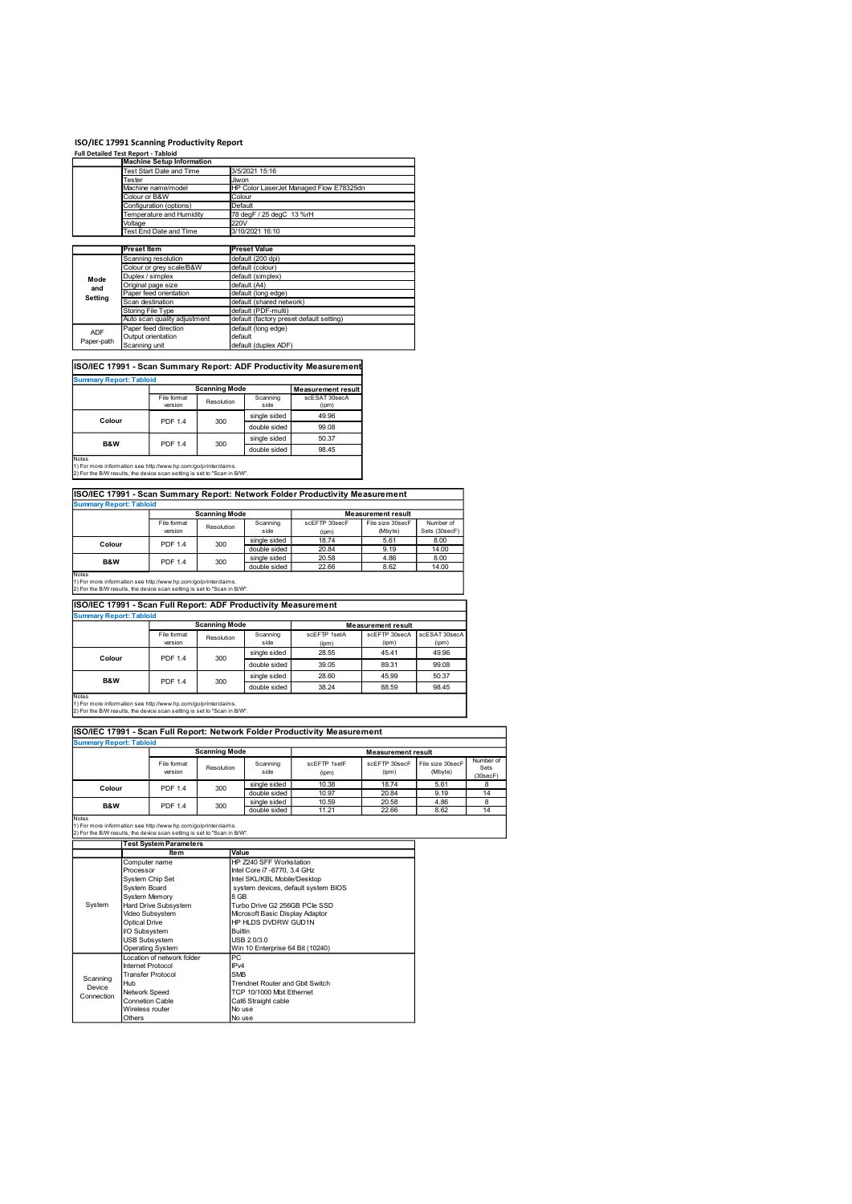| ISO/IEC 17991 Scanning Productivity Report                                                                                                           |                                       |                                                                                                                                             |                                    |                                                                |                                                                              |                                                     |                            |
|------------------------------------------------------------------------------------------------------------------------------------------------------|---------------------------------------|---------------------------------------------------------------------------------------------------------------------------------------------|------------------------------------|----------------------------------------------------------------|------------------------------------------------------------------------------|-----------------------------------------------------|----------------------------|
| <b>Full Detailed Test Report - Tabloid</b>                                                                                                           |                                       | <b>Machine Setup Information</b><br>Test Start Date and Time                                                                                |                                    | 3/5/2021 15:16                                                 |                                                                              |                                                     |                            |
|                                                                                                                                                      | Tester                                | Machine name/model                                                                                                                          |                                    | Jiwon                                                          | HP Color LaserJet Managed Flow E78325dn                                      |                                                     |                            |
|                                                                                                                                                      | Colour or B&W                         | Configuration (options)                                                                                                                     |                                    | Colour<br>Default                                              |                                                                              |                                                     |                            |
|                                                                                                                                                      | Voltage                               | Temperature and Humidity                                                                                                                    |                                    | 78 degF / 25 degC 13 %rH<br>220V                               |                                                                              |                                                     |                            |
|                                                                                                                                                      |                                       | Test End Date and Time                                                                                                                      |                                    | 3/10/2021 16:10                                                |                                                                              |                                                     |                            |
|                                                                                                                                                      | <b>Preset Item</b>                    | Scanning resolution                                                                                                                         |                                    | <b>Preset Value</b><br>default (200 dpi)                       |                                                                              |                                                     |                            |
| Mode                                                                                                                                                 | Duplex / simplex                      | Colour or grey scale/B&W                                                                                                                    |                                    | default (colour)<br>default (simplex)                          |                                                                              |                                                     |                            |
| and<br>Setting                                                                                                                                       | Original page size                    | Paper feed orientation                                                                                                                      |                                    | default (A4)<br>default (long edge)                            |                                                                              |                                                     |                            |
|                                                                                                                                                      | Scan destination<br>Storing File Type | Auto scan quality adjustment                                                                                                                |                                    | default (shared network)<br>default (PDF-multi)                | default (factory preset default setting)                                     |                                                     |                            |
| <b>ADF</b>                                                                                                                                           | Output orientation                    | Paper feed direction                                                                                                                        |                                    | default (long edge)<br>default                                 |                                                                              |                                                     |                            |
| Paper-path                                                                                                                                           | Scanning unit                         |                                                                                                                                             |                                    | default (duplex ADF)                                           |                                                                              |                                                     |                            |
|                                                                                                                                                      |                                       |                                                                                                                                             |                                    |                                                                | ISO/IEC 17991 - Scan Summary Report: ADF Productivity Measurement            |                                                     |                            |
| <b>Summary Report: Tabloid</b>                                                                                                                       |                                       | File format                                                                                                                                 | <b>Scanning Mode</b>               | Scanning                                                       | <b>Measurement result</b><br>scESAT 30secA                                   |                                                     |                            |
|                                                                                                                                                      |                                       | version                                                                                                                                     | Resolution                         | side<br>single sided                                           | (ipm)<br>49.96                                                               |                                                     |                            |
| Colour                                                                                                                                               |                                       | PDF 1.4                                                                                                                                     | 300                                | double sided                                                   | 99.08                                                                        |                                                     |                            |
| B&W                                                                                                                                                  |                                       | PDF 1.4                                                                                                                                     | 300                                | single sided<br>double sided                                   | 50.37<br>98.45                                                               |                                                     |                            |
| Notes<br>1) For more information see http://www.hp.com/go/printerclaims.<br>2) For the B/W results, the device scan setting is set to "Scan in B/W". |                                       |                                                                                                                                             |                                    |                                                                |                                                                              |                                                     |                            |
|                                                                                                                                                      |                                       |                                                                                                                                             |                                    |                                                                | ISO/IEC 17991 - Scan Summary Report: Network Folder Productivity Measurement |                                                     |                            |
| <b>Summary Report: Tabloid</b>                                                                                                                       |                                       |                                                                                                                                             | <b>Scanning Mode</b>               |                                                                |                                                                              | <b>Measurement result</b>                           |                            |
|                                                                                                                                                      |                                       | File format<br>version                                                                                                                      | Resolution                         | Scanning<br>side                                               | scEFTP 30secF<br>(ipm)                                                       | File size 30secF<br>(Mbyte)                         | Number of<br>Sets (30secF) |
| Colour                                                                                                                                               |                                       | PDF 1.4                                                                                                                                     | 300                                | single sided<br>double sided                                   | 18.74<br>20.84                                                               | 5.61<br>9.19                                        | 8.00<br>14.00              |
| B&W                                                                                                                                                  |                                       | PDF 1.4                                                                                                                                     | 300                                | single sided<br>double sided                                   | 20.58<br>22.66                                                               | 4.86<br>8.62                                        | 8.00<br>14.00              |
|                                                                                                                                                      |                                       | Notes<br>1) For more information see http://www.hp.com/go/printerclaims.<br>2) For marrian the the device scan setting is set to "Scan in B |                                    |                                                                |                                                                              |                                                     |                            |
|                                                                                                                                                      |                                       |                                                                                                                                             |                                    |                                                                |                                                                              |                                                     |                            |
|                                                                                                                                                      |                                       |                                                                                                                                             |                                    | ISO/IEC 17991 - Scan Full Report: ADF Productivity Measurement |                                                                              |                                                     |                            |
| 2) For the B/W results, the device scan setting is set to "Scan in B/W".<br><b>Summary Report: Tabloid</b>                                           |                                       |                                                                                                                                             |                                    |                                                                |                                                                              |                                                     |                            |
|                                                                                                                                                      |                                       | File format<br>version                                                                                                                      | <b>Scanning Mode</b><br>Resolution | Scanning<br>side                                               | scEFTP 1setA<br>(ipm)                                                        | <b>Measurement result</b><br>scEFTP 30secA<br>(ipm) | scESAT 30secA<br>(ipm)     |

## ISO/IEC 17991 - Scan Summary Report: ADF Productivity Measurement

| <b>Summary Report: Tabloid</b>                                                                                                                                                                                                                 |                        | <b>Scanning Mode</b><br>Scanning<br>Resolution<br>side<br>(ipm) |              |               |  |  |
|------------------------------------------------------------------------------------------------------------------------------------------------------------------------------------------------------------------------------------------------|------------------------|-----------------------------------------------------------------|--------------|---------------|--|--|
|                                                                                                                                                                                                                                                | Measurement result     |                                                                 |              |               |  |  |
|                                                                                                                                                                                                                                                | File format<br>version |                                                                 |              | scESAT 30secA |  |  |
|                                                                                                                                                                                                                                                |                        |                                                                 |              |               |  |  |
| Colour                                                                                                                                                                                                                                         | <b>PDF 1.4</b>         | 300                                                             | single sided | 49.96         |  |  |
|                                                                                                                                                                                                                                                |                        |                                                                 | double sided | 99.08         |  |  |
| B&W                                                                                                                                                                                                                                            | <b>PDF 1.4</b>         | 300                                                             | single sided | 50.37         |  |  |
|                                                                                                                                                                                                                                                |                        |                                                                 | double sided | 98.45         |  |  |
| <b>Notes</b><br>and the contract of the contract of the contract of the contract of the contract of the contract of the contract of the contract of the contract of the contract of the contract of the contract of the contract of the contra |                        |                                                                 |              |               |  |  |

# ISO/IEC 17991 - Scan Summary Report: Network Folder Productivity Measurement

|                   | <b>Scanning Mode</b><br>Measurement result<br>File size 30secF<br>File format<br>Scanning<br>scEFTP 30secF<br>Resolution<br>side<br>version<br>(Mbyte)<br>(ipm)<br>single sided<br>18.74<br>5.61<br><b>PDF 1.4</b> |     |              |       |      |                            |
|-------------------|--------------------------------------------------------------------------------------------------------------------------------------------------------------------------------------------------------------------|-----|--------------|-------|------|----------------------------|
|                   |                                                                                                                                                                                                                    |     |              |       |      | Number of<br>Sets (30secF) |
| Colour            |                                                                                                                                                                                                                    | 300 |              |       |      | 8.00                       |
|                   |                                                                                                                                                                                                                    |     | double sided | 20.84 | 9.19 | 14.00                      |
| <b>B&amp;W</b>    | <b>PDF 1.4</b>                                                                                                                                                                                                     | 300 | single sided | 20.58 | 4.86 | 8.00                       |
|                   |                                                                                                                                                                                                                    |     | double sided | 22.66 | 8.62 | 14.00                      |
| $1.1 - 1.1 - 1.1$ |                                                                                                                                                                                                                    |     |              |       |      |                            |

## ISO/IEC 17991 - Scan Full Report: ADF Productivity Measurement

| Mode                                                                                                                                                                                   | Duplex / simplex         |                                                                   |                      |                                                                |                                                                              |                           |                             |
|----------------------------------------------------------------------------------------------------------------------------------------------------------------------------------------|--------------------------|-------------------------------------------------------------------|----------------------|----------------------------------------------------------------|------------------------------------------------------------------------------|---------------------------|-----------------------------|
| and                                                                                                                                                                                    | Original page size       |                                                                   |                      | default (A4)                                                   |                                                                              |                           |                             |
| Setting                                                                                                                                                                                |                          | Paper feed orientation                                            |                      | default (long edge)                                            |                                                                              |                           |                             |
|                                                                                                                                                                                        | Scan destination         |                                                                   |                      | default (shared network)                                       |                                                                              |                           |                             |
|                                                                                                                                                                                        | <b>Storing File Type</b> |                                                                   |                      | default (PDF-multi)                                            |                                                                              |                           |                             |
|                                                                                                                                                                                        |                          | Auto scan quality adjustment                                      |                      | default (factory preset default setting)                       |                                                                              |                           |                             |
| <b>ADF</b>                                                                                                                                                                             |                          | Paper feed direction                                              |                      | default (long edge)                                            |                                                                              |                           |                             |
| Paper-path                                                                                                                                                                             | Output orientation       |                                                                   |                      | default                                                        |                                                                              |                           |                             |
|                                                                                                                                                                                        | Scanning unit            |                                                                   |                      | default (duplex ADF)                                           |                                                                              |                           |                             |
|                                                                                                                                                                                        |                          |                                                                   |                      |                                                                |                                                                              |                           |                             |
|                                                                                                                                                                                        |                          | ISO/IEC 17991 - Scan Summary Report: ADF Productivity Measurement |                      |                                                                |                                                                              |                           |                             |
| <b>Summary Report: Tabloid</b>                                                                                                                                                         |                          |                                                                   |                      |                                                                |                                                                              |                           |                             |
|                                                                                                                                                                                        |                          |                                                                   | <b>Scanning Mode</b> |                                                                | <b>Measurement result</b>                                                    |                           |                             |
|                                                                                                                                                                                        |                          | File format<br>version                                            | Resolution           | Scanning<br>side                                               | scESAT 30secA<br>(ipm)                                                       |                           |                             |
|                                                                                                                                                                                        |                          |                                                                   |                      |                                                                |                                                                              |                           |                             |
| Colour                                                                                                                                                                                 |                          | PDF 1.4                                                           | 300                  | single sided                                                   | 49.96                                                                        |                           |                             |
|                                                                                                                                                                                        |                          |                                                                   |                      | double sided                                                   | 99.08                                                                        |                           |                             |
| B&W                                                                                                                                                                                    |                          | PDF 1.4                                                           |                      | single sided                                                   | 50.37                                                                        |                           |                             |
|                                                                                                                                                                                        |                          |                                                                   | 300                  | double sided                                                   | 98.45                                                                        |                           |                             |
| Notes                                                                                                                                                                                  |                          |                                                                   |                      |                                                                |                                                                              |                           |                             |
| 1) For more information see http://www.hp.com/go/printerclaims.                                                                                                                        |                          |                                                                   |                      |                                                                |                                                                              |                           |                             |
| 2) For the B/W results, the device scan setting is set to "Scan in B/W".                                                                                                               |                          |                                                                   |                      |                                                                |                                                                              |                           |                             |
|                                                                                                                                                                                        |                          |                                                                   |                      |                                                                |                                                                              |                           |                             |
|                                                                                                                                                                                        |                          |                                                                   |                      |                                                                | ISO/IEC 17991 - Scan Summary Report: Network Folder Productivity Measurement |                           |                             |
| <b>Summary Report: Tabloid</b>                                                                                                                                                         |                          |                                                                   |                      |                                                                |                                                                              |                           |                             |
|                                                                                                                                                                                        |                          |                                                                   | <b>Scanning Mode</b> |                                                                |                                                                              | <b>Measurement result</b> |                             |
|                                                                                                                                                                                        |                          | File format                                                       | Resolution           | Scanning                                                       | scEFTP 30secF                                                                | File size 30secF          | Number of                   |
|                                                                                                                                                                                        |                          | version                                                           |                      | side                                                           | (ipm)                                                                        | (Mbyte)                   | Sets (30secF)               |
| Colour                                                                                                                                                                                 |                          | PDF 1.4                                                           | 300                  | single sided                                                   | 18.74                                                                        | 5.61                      | 8.00                        |
|                                                                                                                                                                                        |                          |                                                                   |                      | double sided                                                   | 20.84                                                                        | 9.19                      | 14.00                       |
|                                                                                                                                                                                        |                          | <b>PDF 1.4</b>                                                    | 300                  | single sided                                                   | 20.58                                                                        | 4.86                      | 8.00                        |
|                                                                                                                                                                                        |                          |                                                                   |                      | double sided                                                   | 22.66                                                                        | 8.62                      | 14.00                       |
| B&W                                                                                                                                                                                    |                          |                                                                   |                      |                                                                |                                                                              |                           |                             |
| Notes                                                                                                                                                                                  |                          |                                                                   |                      |                                                                |                                                                              |                           |                             |
| 1) For more information see http://www.hp.com/go/printerclaims.                                                                                                                        |                          |                                                                   |                      |                                                                |                                                                              |                           |                             |
|                                                                                                                                                                                        |                          |                                                                   |                      |                                                                |                                                                              |                           |                             |
|                                                                                                                                                                                        |                          |                                                                   |                      | ISO/IEC 17991 - Scan Full Report: ADF Productivity Measurement |                                                                              |                           |                             |
| 2) For the B/W results, the device scan setting is set to "Scan in B/W".<br><b>Summary Report: Tabloid</b>                                                                             |                          |                                                                   |                      |                                                                |                                                                              |                           |                             |
|                                                                                                                                                                                        |                          |                                                                   | <b>Scanning Mode</b> |                                                                |                                                                              | <b>Measurement result</b> |                             |
|                                                                                                                                                                                        |                          | File format                                                       |                      | Scanning                                                       | scEFTP 1setA                                                                 | scEFTP 30secA             | scESAT 30secA               |
|                                                                                                                                                                                        |                          | version                                                           | Resolution           | side                                                           | (ipm)                                                                        | (ipm)                     | (ipm)                       |
|                                                                                                                                                                                        |                          |                                                                   |                      | single sided                                                   | 28.55                                                                        | 45.41                     | 49.96                       |
| Colour                                                                                                                                                                                 |                          | <b>PDF 1.4</b>                                                    | 300                  | double sided                                                   | 39.05                                                                        | 89.31                     | 99.08                       |
|                                                                                                                                                                                        |                          |                                                                   |                      | single sided                                                   | 28.60                                                                        | 45.99                     | 50.37                       |
| <b>B&amp;W</b>                                                                                                                                                                         |                          | <b>PDF 1.4</b>                                                    | 300                  |                                                                |                                                                              |                           |                             |
|                                                                                                                                                                                        |                          |                                                                   |                      | double sided                                                   | 38.24                                                                        | 88.59                     | 98.45                       |
|                                                                                                                                                                                        |                          |                                                                   |                      |                                                                |                                                                              |                           |                             |
|                                                                                                                                                                                        |                          |                                                                   |                      |                                                                |                                                                              |                           |                             |
|                                                                                                                                                                                        |                          |                                                                   |                      |                                                                |                                                                              |                           |                             |
|                                                                                                                                                                                        |                          |                                                                   |                      |                                                                |                                                                              |                           |                             |
|                                                                                                                                                                                        |                          |                                                                   |                      |                                                                | ISO/IEC 17991 - Scan Full Report: Network Folder Productivity Measurement    |                           |                             |
| Notes<br>1) For more information see http://www.hp.com/go/printerclaims.<br>2) For the B/W results, the device scan setting is set to "Scan in B/W".<br><b>Summary Report: Tabloid</b> |                          |                                                                   |                      |                                                                |                                                                              |                           |                             |
|                                                                                                                                                                                        |                          |                                                                   | <b>Scanning Mode</b> |                                                                |                                                                              | <b>Measurement result</b> |                             |
|                                                                                                                                                                                        |                          | File format<br>version                                            | Resolution           | Scanning<br>side                                               | scEFTP 1setF                                                                 | scEFTP 30secF<br>(ipm)    | File size 30secF<br>(Mbyte) |

|                                |                                                                                                                                             |                      | single sided                 | 49.96                               |                           |                  |               |
|--------------------------------|---------------------------------------------------------------------------------------------------------------------------------------------|----------------------|------------------------------|-------------------------------------|---------------------------|------------------|---------------|
| Colour                         | PDF 1.4                                                                                                                                     | 300                  | double sided                 | 99.08                               |                           |                  |               |
|                                |                                                                                                                                             |                      | single sided                 | 50.37                               |                           |                  |               |
| B&W                            | <b>PDF 1.4</b>                                                                                                                              | 300                  | double sided                 | 98.45                               |                           |                  |               |
| Notes                          |                                                                                                                                             |                      |                              |                                     |                           |                  |               |
|                                | ) For more information see http://www.hp.com/go/printerclaims.<br>2) For the B/W results, the device scan setting is set to "Scan in B/W".  |                      |                              |                                     |                           |                  |               |
|                                |                                                                                                                                             |                      |                              |                                     |                           |                  |               |
|                                | ISO/IEC 17991 - Scan Summary Report: Network Folder Productivity Measurement                                                                |                      |                              |                                     |                           |                  |               |
| <b>Summary Report: Tabloid</b> |                                                                                                                                             |                      |                              |                                     |                           |                  |               |
|                                |                                                                                                                                             | <b>Scanning Mode</b> |                              |                                     | <b>Measurement result</b> |                  |               |
|                                | File format                                                                                                                                 | Resolution           | Scanning                     | scEFTP 30secF                       |                           | File size 30secF | Number of     |
|                                | version                                                                                                                                     |                      | side                         | (ipm)                               | (Mbyte)                   |                  | Sets (30secF) |
| Colour                         | <b>PDF 1.4</b>                                                                                                                              | 300                  | single sided                 | 18.74                               | 5.61                      |                  | 8.00          |
|                                |                                                                                                                                             |                      | double sided<br>single sided | 20.84<br>20.58                      | 9.19<br>4.86              |                  | 14.00<br>8.00 |
| B&W                            | <b>PDF 1.4</b>                                                                                                                              | 300                  | double sided                 | 22.66                               | 8.62                      |                  | 14.00         |
| Notes                          |                                                                                                                                             |                      |                              |                                     |                           |                  |               |
|                                | 1) For more information see http://www.hp.com/go/printerclaims.<br>2) For the B/W results, the device scan setting is set to "Scan in B/W". |                      |                              |                                     |                           |                  |               |
|                                |                                                                                                                                             |                      |                              |                                     |                           |                  |               |
|                                | ISO/IEC 17991 - Scan Full Report: ADF Productivity Measurement                                                                              |                      |                              |                                     |                           |                  |               |
| <b>Summary Report: Tabloid</b> |                                                                                                                                             |                      |                              |                                     |                           |                  |               |
|                                |                                                                                                                                             | <b>Scanning Mode</b> |                              |                                     | <b>Measurement result</b> |                  |               |
|                                | File format                                                                                                                                 | Resolution           | Scanning                     | scEFTP 1setA                        | scEFTP 30secA             | scESAT 30secA    |               |
|                                | version                                                                                                                                     |                      | side                         | (ipm)                               | (ipm)                     | (ipm)            |               |
| Colour                         | <b>PDF 1.4</b>                                                                                                                              | 300                  | single sided                 | 28.55                               | 45.41                     | 49.96            |               |
|                                |                                                                                                                                             |                      | double sided                 | 39.05                               | 89.31                     | 99.08            |               |
| B&W                            | <b>PDF 1.4</b>                                                                                                                              | 300                  | single sided                 | 28.60                               | 45.99                     | 50.37            |               |
|                                |                                                                                                                                             |                      | double sided                 | 38.24                               | 88.59                     | 98.45            |               |
| Notes                          |                                                                                                                                             |                      |                              |                                     |                           |                  |               |
|                                | 1) For more information see http://www.hp.com/go/printerclaims.<br>2) For the B/W results, the device scan setting is set to "Scan in B/W". |                      |                              |                                     |                           |                  |               |
|                                |                                                                                                                                             |                      |                              |                                     |                           |                  |               |
|                                | ISO/IEC 17991 - Scan Full Report: Network Folder Productivity Measurement                                                                   |                      |                              |                                     |                           |                  |               |
| <b>Summary Report: Tabloid</b> |                                                                                                                                             |                      |                              |                                     |                           |                  |               |
|                                |                                                                                                                                             | <b>Scanning Mode</b> |                              |                                     | <b>Measurement result</b> |                  |               |
|                                | File format                                                                                                                                 |                      | Scanning                     | scEFTP 1setF                        | scEFTP 30secF             | File size 30secF |               |
|                                | version                                                                                                                                     | Resolution           | side                         | (ipm)                               | (ipm)                     | (Mbyte)          | (30secF)      |
|                                |                                                                                                                                             |                      | single sided                 | 10.38                               | 18.74                     | 5.61             |               |
| Colour                         | <b>PDF 1.4</b>                                                                                                                              | 300                  | double sided                 | 10.97                               | 20.84                     | 9.19             |               |
| B&W                            | <b>PDF 1.4</b>                                                                                                                              | 300                  | single sided                 | 10.59                               | 20.58                     | 4.86             |               |
|                                |                                                                                                                                             |                      | double sided                 | 11.21                               | 22.66                     | 8.62             | 14            |
| Notes                          | 1) For more information see http://www.hp.com/go/printerclaims.                                                                             |                      |                              |                                     |                           |                  |               |
|                                | 2) For the B/W results, the device scan setting is set to "Scan in B/W".                                                                    |                      |                              |                                     |                           |                  |               |
|                                | <b>Test System Parameters</b>                                                                                                               |                      |                              |                                     |                           |                  |               |
|                                | <b>Item</b>                                                                                                                                 | Value                |                              |                                     |                           |                  |               |
|                                | Computer name                                                                                                                               |                      | HP Z240 SFF Workstation      |                                     |                           |                  |               |
|                                | Processor                                                                                                                                   |                      | Intel Core i7 -6770, 3.4 GHz |                                     |                           |                  |               |
|                                | System Chip Set                                                                                                                             |                      | Intel SKL/KBL Mobile/Desktop |                                     |                           |                  |               |
|                                | System Board<br>System Memory                                                                                                               | 8 GB                 |                              | system devices, default system BIOS |                           |                  |               |
|                                |                                                                                                                                             |                      |                              |                                     |                           |                  |               |

| <b>Summary Report: Tabloid</b><br>Colour<br>B&W<br>Notes                                                                                             |                                               |                      |                                  | ISO/IEC 17991 - Scan Summary Report: Network Folder Productivity Measurement |                                            |                             |                               |  |  |  |
|------------------------------------------------------------------------------------------------------------------------------------------------------|-----------------------------------------------|----------------------|----------------------------------|------------------------------------------------------------------------------|--------------------------------------------|-----------------------------|-------------------------------|--|--|--|
|                                                                                                                                                      |                                               |                      |                                  |                                                                              |                                            |                             |                               |  |  |  |
|                                                                                                                                                      |                                               |                      |                                  |                                                                              |                                            |                             |                               |  |  |  |
|                                                                                                                                                      |                                               | <b>Scanning Mode</b> |                                  |                                                                              | <b>Measurement result</b>                  |                             |                               |  |  |  |
|                                                                                                                                                      | File format<br>version                        | Resolution           | Scanning<br>side                 | scEFTP 30secF<br>(ipm)                                                       | File size 30secF<br>(Mbyte)                | Number of<br>Sets (30secF)  |                               |  |  |  |
|                                                                                                                                                      | PDF 1.4                                       | 300                  | single sided<br>double sided     | 18.74<br>20.84                                                               | 5.61<br>9.19                               | 8.00<br>14.00               |                               |  |  |  |
|                                                                                                                                                      |                                               |                      | single sided                     | 20.58                                                                        | 4.86                                       | 8.00                        |                               |  |  |  |
|                                                                                                                                                      | PDF 1.4                                       | 300                  | double sided                     | 22.66                                                                        | 8.62                                       | 14.00                       |                               |  |  |  |
| 1) For more information see http://www.hp.com/go/printerclaims.<br>2) For the B/W results, the device scan setting is set to "Scan in B/W".          |                                               |                      |                                  |                                                                              |                                            |                             |                               |  |  |  |
| ISO/IEC 17991 - Scan Full Report: ADF Productivity Measurement<br><b>Summary Report: Tabloid</b>                                                     |                                               |                      |                                  |                                                                              |                                            |                             |                               |  |  |  |
|                                                                                                                                                      |                                               | <b>Scanning Mode</b> |                                  |                                                                              |                                            |                             |                               |  |  |  |
|                                                                                                                                                      | File format                                   |                      | Scanning                         | scEFTP 1setA                                                                 | <b>Measurement result</b><br>scEFTP 30secA | scESAT 30secA               |                               |  |  |  |
|                                                                                                                                                      | version                                       | Resolution           | side                             | (ipm)                                                                        | (ipm)                                      | (ipm)                       |                               |  |  |  |
| Colour                                                                                                                                               | PDF 1.4                                       | 300                  | single sided                     | 28.55                                                                        | 45.41                                      | 49.96                       |                               |  |  |  |
|                                                                                                                                                      |                                               |                      | double sided                     | 39.05                                                                        | 89.31                                      | 99.08                       |                               |  |  |  |
|                                                                                                                                                      |                                               |                      | single sided                     | 28.60                                                                        | 45.99                                      | 50.37                       |                               |  |  |  |
| B&W                                                                                                                                                  | PDF 1.4                                       | 300                  | double sided                     | 38.24                                                                        | 88.59                                      | 98.45                       |                               |  |  |  |
| Notes<br>1) For more information see http://www.hp.com/go/printerclaims.<br>2) For the B/W results, the device scan setting is set to "Scan in B/W". |                                               |                      |                                  | ISO/IEC 17991 - Scan Full Report: Network Folder Productivity Measurement    |                                            |                             |                               |  |  |  |
| <b>Summary Report: Tabloid</b>                                                                                                                       |                                               |                      |                                  |                                                                              |                                            |                             |                               |  |  |  |
|                                                                                                                                                      |                                               | <b>Scanning Mode</b> |                                  |                                                                              | <b>Measurement result</b>                  |                             |                               |  |  |  |
|                                                                                                                                                      | File format<br>version                        | Resolution           | Scanning<br>side                 | scEFTP 1setF<br>(ipm)                                                        | scEFTP 30secF<br>(ipm)                     | File size 30secF<br>(Mbyte) | Number of<br>Sets<br>(30secF) |  |  |  |
| Colour                                                                                                                                               | <b>PDF 1.4</b>                                | 300                  | single sided                     | 10.38                                                                        | 18.74                                      | 5.61                        | 8                             |  |  |  |
|                                                                                                                                                      |                                               |                      | double sided                     | 10.97                                                                        | 20.84                                      | 9.19                        | 14                            |  |  |  |
|                                                                                                                                                      | <b>PDF 1.4</b>                                |                      |                                  |                                                                              |                                            |                             |                               |  |  |  |
| B&W                                                                                                                                                  |                                               | 300                  | single sided<br>double sided     | 10.59<br>11.21                                                               | 20.58<br>22.66                             | 4.86<br>8.62                | 8<br>14                       |  |  |  |
| Notes<br>1) For more information see http://www.hp.com/go/printerclaims.                                                                             |                                               |                      |                                  |                                                                              |                                            |                             |                               |  |  |  |
| 2) For the B/W results, the device scan setting is set to "Scan in B/W".                                                                             |                                               |                      |                                  |                                                                              |                                            |                             |                               |  |  |  |
|                                                                                                                                                      | <b>Test System Parameters</b><br><b>Item</b>  | Value                |                                  |                                                                              |                                            |                             |                               |  |  |  |
|                                                                                                                                                      | Computer name                                 |                      | HP Z240 SFF Workstation          |                                                                              |                                            |                             |                               |  |  |  |
| Processor                                                                                                                                            |                                               |                      | Intel Core i7 -6770, 3.4 GHz     |                                                                              |                                            |                             |                               |  |  |  |
|                                                                                                                                                      | System Chip Set                               |                      | Intel SKL/KBL Mobile/Desktop     |                                                                              |                                            |                             |                               |  |  |  |
|                                                                                                                                                      | System Board<br><b>System Memory</b>          | 8 GB                 |                                  | system devices, default system BIOS                                          |                                            |                             |                               |  |  |  |
| System                                                                                                                                               | Hard Drive Subsystem                          |                      | Turbo Drive G2 256GB PCle SSD    |                                                                              |                                            |                             |                               |  |  |  |
|                                                                                                                                                      | Video Subsystem                               |                      | Microsoft Basic Display Adaptor  |                                                                              |                                            |                             |                               |  |  |  |
|                                                                                                                                                      | Optical Drive<br>I/O Subsystem                | Builtin              | HP HLDS DVDRW GUD1N              |                                                                              |                                            |                             |                               |  |  |  |
|                                                                                                                                                      | <b>USB Subsystem</b>                          |                      | USB 2.0/3.0                      |                                                                              |                                            |                             |                               |  |  |  |
|                                                                                                                                                      | Operating System                              |                      | Win 10 Enterprise 64 Bit (10240) |                                                                              |                                            |                             |                               |  |  |  |
|                                                                                                                                                      | Location of network folder                    | PC                   |                                  |                                                                              |                                            |                             |                               |  |  |  |
|                                                                                                                                                      | Internet Protocol<br><b>Transfer Protocol</b> | IPv4<br><b>SMB</b>   |                                  |                                                                              |                                            |                             |                               |  |  |  |
| Scanning<br>Hub                                                                                                                                      |                                               |                      | Trendnet Router and Gbit Switch  |                                                                              |                                            |                             |                               |  |  |  |
| Device<br>Connection                                                                                                                                 | Network Speed                                 |                      | TCP 10/1000 Mbit Ethernet        |                                                                              |                                            |                             |                               |  |  |  |
|                                                                                                                                                      | Connetion Cable                               |                      | Cat6 Straight cable              |                                                                              |                                            |                             |                               |  |  |  |
|                                                                                                                                                      | Wireless router                               | No use               |                                  |                                                                              |                                            |                             |                               |  |  |  |